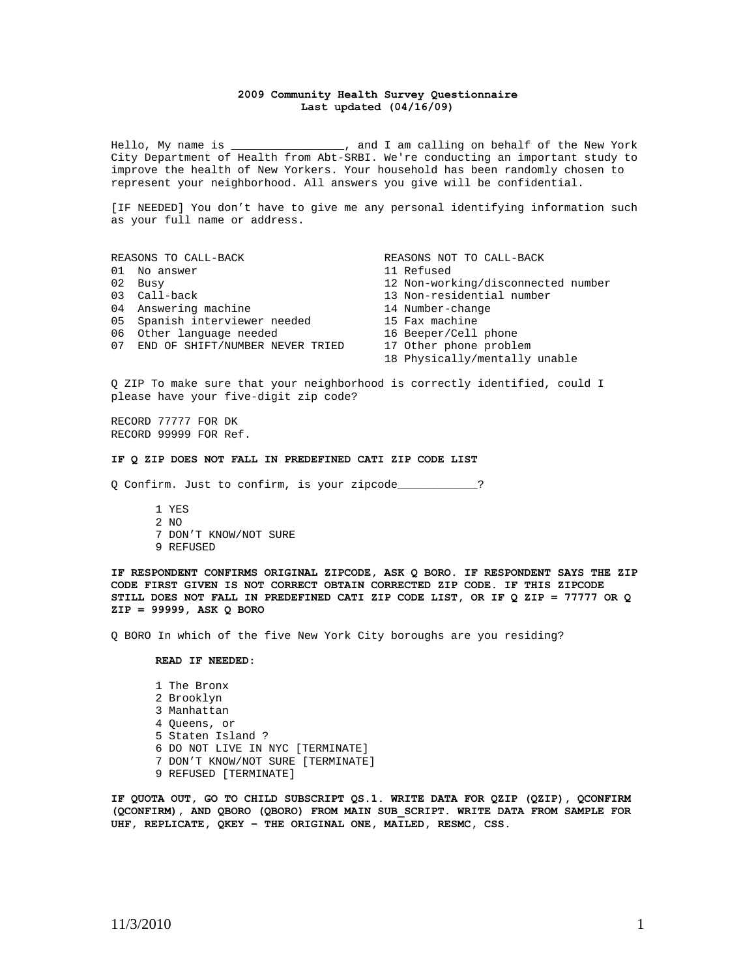## **2009 Community Health Survey Questionnaire Last updated (04/16/09)**

Hello, My name is \_\_\_\_\_\_\_\_\_\_\_\_\_\_\_\_\_, and I am calling on behalf of the New York City Department of Health from Abt-SRBI. We're conducting an important study to improve the health of New Yorkers. Your household has been randomly chosen to represent your neighborhood. All answers you give will be confidential.

[IF NEEDED] You don't have to give me any personal identifying information such as your full name or address.

| REASONS TO CALL-BACK |                                    | REASONS NOT TO CALL-BACK           |
|----------------------|------------------------------------|------------------------------------|
|                      | 01 No answer                       | 11 Refused                         |
|                      | 02 Busy                            | 12 Non-working/disconnected number |
|                      | 03 Call-back                       | 13 Non-residential number          |
|                      | 04 Answering machine               | 14 Number-change                   |
|                      | 05 Spanish interviewer needed      | 15 Fax machine                     |
|                      | 06 Other language needed           | 16 Beeper/Cell phone               |
|                      | 07 END OF SHIFT/NUMBER NEVER TRIED | 17 Other phone problem             |
|                      |                                    | 18 Physically/mentally unable      |

Q ZIP To make sure that your neighborhood is correctly identified, could I please have your five-digit zip code?

RECORD 77777 FOR DK RECORD 99999 FOR Ref.

#### **IF Q ZIP DOES NOT FALL IN PREDEFINED CATI ZIP CODE LIST**

Q Confirm. Just to confirm, is your zipcode\_\_\_\_\_\_\_\_\_\_\_\_?

 1 YES 2  $N<sub>O</sub>$  7 DON'T KNOW/NOT SURE 9 REFUSED

**IF RESPONDENT CONFIRMS ORIGINAL ZIPCODE, ASK Q BORO. IF RESPONDENT SAYS THE ZIP CODE FIRST GIVEN IS NOT CORRECT OBTAIN CORRECTED ZIP CODE. IF THIS ZIPCODE STILL DOES NOT FALL IN PREDEFINED CATI ZIP CODE LIST, OR IF Q ZIP = 77777 OR Q ZIP = 99999, ASK Q BORO** 

Q BORO In which of the five New York City boroughs are you residing?

#### **READ IF NEEDED:**

 1 The Bronx 2 Brooklyn 3 Manhattan 4 Queens, or 5 Staten Island ? 6 DO NOT LIVE IN NYC [TERMINATE] 7 DON'T KNOW/NOT SURE [TERMINATE] 9 REFUSED [TERMINATE]

**IF QUOTA OUT, GO TO CHILD SUBSCRIPT QS.1. WRITE DATA FOR QZIP (QZIP), QCONFIRM (QCONFIRM), AND QBORO (QBORO) FROM MAIN SUB\_SCRIPT. WRITE DATA FROM SAMPLE FOR UHF, REPLICATE, QKEY – THE ORIGINAL ONE, MAILED, RESMC, CSS.**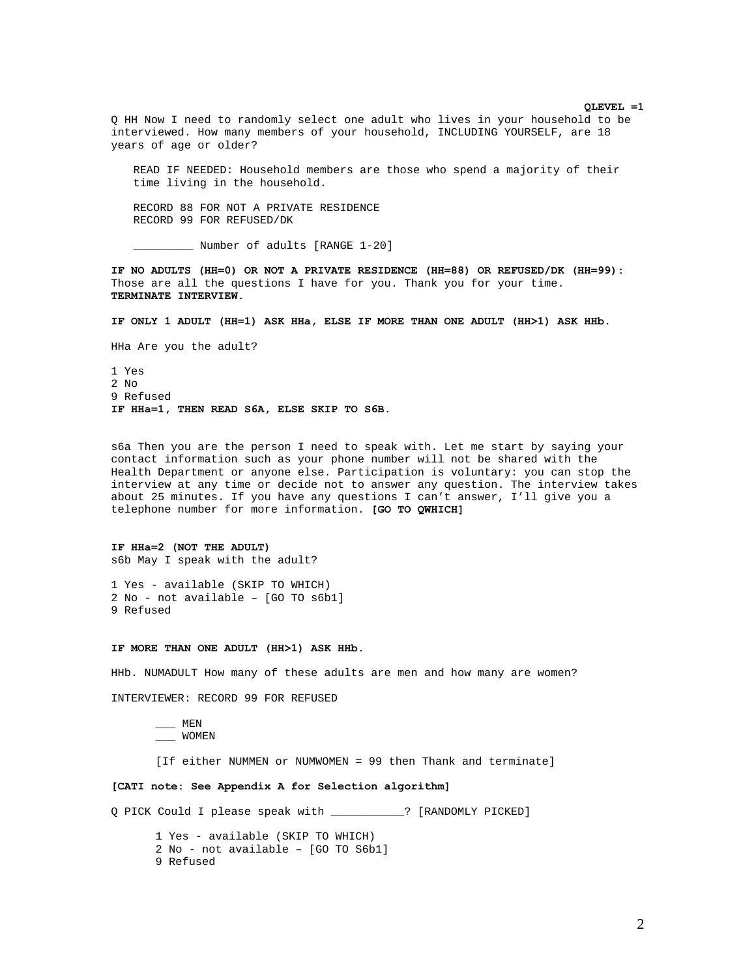Q HH Now I need to randomly select one adult who lives in your household to be interviewed. How many members of your household, INCLUDING YOURSELF, are 18 years of age or older?

READ IF NEEDED: Household members are those who spend a majority of their time living in the household.

RECORD 88 FOR NOT A PRIVATE RESIDENCE RECORD 99 FOR REFUSED/DK

\_\_\_\_\_\_\_\_\_ Number of adults [RANGE 1-20]

**IF NO ADULTS (HH=0) OR NOT A PRIVATE RESIDENCE (HH=88) OR REFUSED/DK (HH=99):**  Those are all the que stions I have for you. Thank you for your time. **TERMINATE INTERVIEW.** 

**IF ONLY 1 ADULT (HH=1) ASK HHa, ELSE IF MORE THAN ONE ADULT (HH>1) ASK HHb.** 

HHa Are you the adult?

1 Yes 2 No 9 Refused **IF HHa=1, THEN READ S6A, ELSE SKIP TO S6B.** 

s6a Then you are the person I need to speak with. Let me start by saying your contact information such as your phone number will not be shared with the Health Department or anyone else. Participation is voluntary: you can stop the interview at any time or decide not to answer any question. The interview takes about 25 minutes. If you have any questions I can't answer, I'll give you a telephone number for more information. **[GO TO QWHICH]**

**IF HHa=2 (NOT THE ADULT)**  s6b May I speak with the adult?

1 Yes - available (SKIP TO WHICH) 2 No - not available – [GO TO s6b1] 9 Refused

#### **IF MORE THAN ONE ADULT (HH>1) ASK HHb.**

HHb. NUMADULT How many of these adults are men and how many are women?

INTERVIEWER: RECORD 99 FOR REFUSED

 $\overline{\phantom{0}}$  MEN \_\_\_ WOMEN

[If either NUMMEN or NUMWOMEN = 99 then Thank and terminate]

# **[CATI note: See Appendix A for Selection algorithm]**

Q PICK Could I please speak with \_\_\_\_\_\_\_\_\_\_\_? [RANDOMLY PICKED]

1 Yes - available (SKIP TO WHICH) 2 No - not available – [GO TO S6b1] 9 Refused

**QLEVEL =1**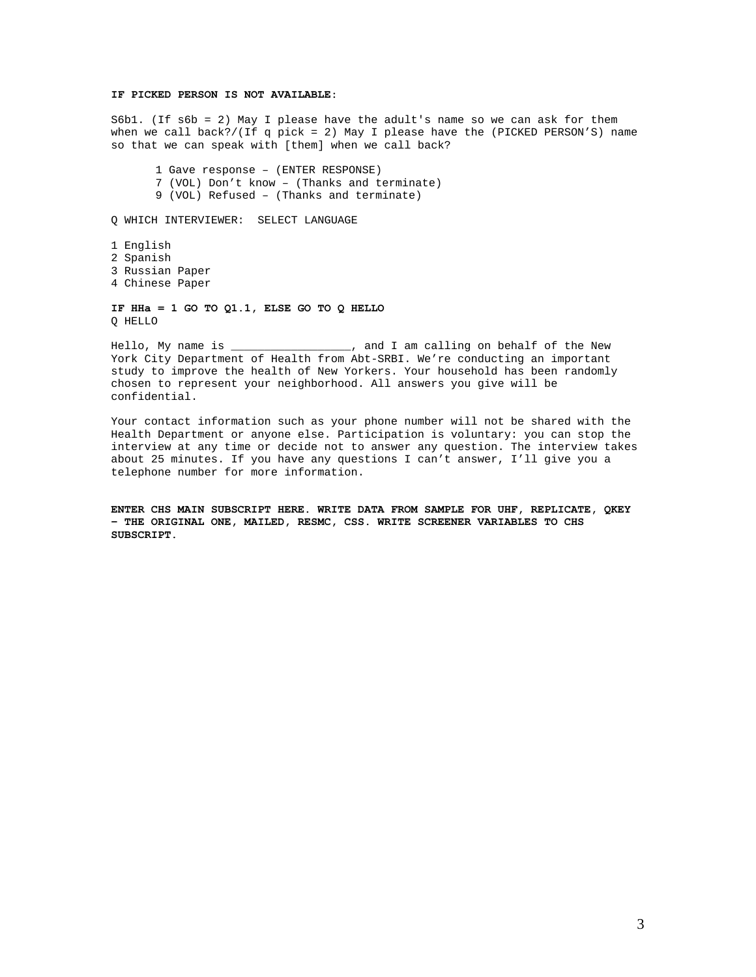## **IF PICKED PERSON IS NOT AVAILABLE:**

S6b1. (If s6b = 2) May I please have the adult's name so we can ask for them when we call back?/(If  $q$  pick = 2) May I please have the (PICKED PERSON'S) name so that we can speak with [them] when we call back?

1 Gave response – (ENTER RESPONSE) 7 (VOL) Don't know – (Thanks and terminate) 9 (VOL) Refused – (Thanks and terminate) Q WHICH INTERVIEWER: SELECT LANGUAGE 1 English 2 Spanish

3 Russian Paper 4 Chinese Paper

# **IF HHa = 1 GO TO Q1.1, ELSE GO TO Q HELLO**  Q HELLO

Hello, My name is \_\_\_\_\_\_\_\_\_\_\_\_\_\_\_\_\_, and I am calling on behalf of the New York City Department of Health from Abt-SRBI. We're conducting an important study to improve the health of New Yorkers. Your household has been randomly chosen to represent your neighborhood. All answers you give will be confidential.

Your contact information such as your phone number will not be shared with the Health Department or anyone else. Participation is voluntary: you can stop the interview at any time or decide not to answer any question. The interview takes about 25 minutes. If you have any questions I can't answer, I'll give you a telephone number for more information.

**ENTER CHS MAIN SUBSCRIPT HERE. WRITE DATA FROM SAMPLE FOR UHF, REPLICATE, QKEY – THE ORIGINAL ONE, MAILED, RESMC, CSS. WRITE SCREENER VARIABLES TO CHS SUBSCRIPT.**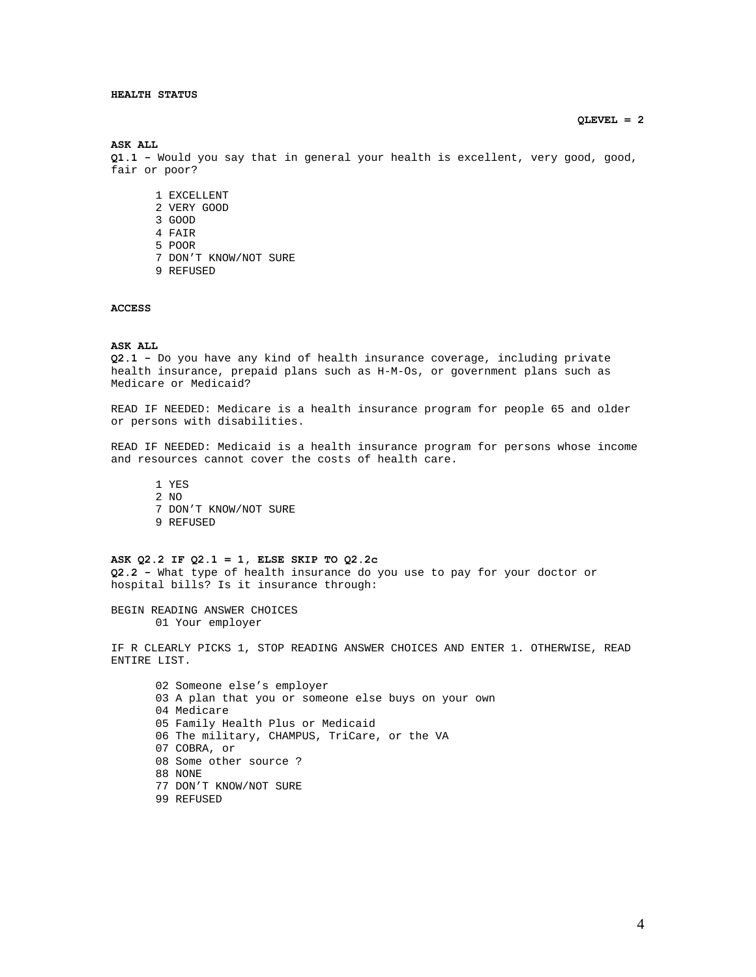## **ASK ALL**

**Q1.1 -** Would you say that in general your health is excellent, very good, good, fair or poor?

- 1 EXCELLENT 2 VERY GOOD 3 GOOD 4 FAIR 5 POOR 7 DON'T KNOW/NOT SURE 9 REFUSED
- **ACCESS**

#### **ASK ALL**

**Q2.1 -** Do you have any kind of health insurance coverage, including private health insurance, prepaid plans such as H-M-Os, or government plans such as Medicare or Medicaid?

READ IF NEEDED: Medicare is a health insurance program for people 65 and older or persons with disabilities.

READ IF NEEDED: Medicaid is a health insurance program for persons whose income and resources cannot cover the costs of health care.

1 YES 2 NO 7 DON'T KNOW/NOT SURE 9 REFUSED

## **ASK Q2.2 IF Q2.1 = 1, ELSE SKIP TO Q2.2c**

**Q2.2 -** What type of health insurance do you use to pay for your doctor or hospital bills? Is it insurance through:

BEGIN READING ANSWER CHOICES 01 Your employer

IF R CLEARLY PICKS 1, STOP READING ANSWER CHOICES AND ENTER 1. OTHERWISE, READ ENTIRE LIST.

02 Someone else's employer 03 A plan that you or someone else buys on your own 04 Medicare 05 Family Health Plus or Medicaid 06 The military, CHAMPUS, TriCare, or the VA 07 COBRA, or 08 Some other source ? 88 NONE 77 DON'T KNOW/NOT SURE 99 REFUSED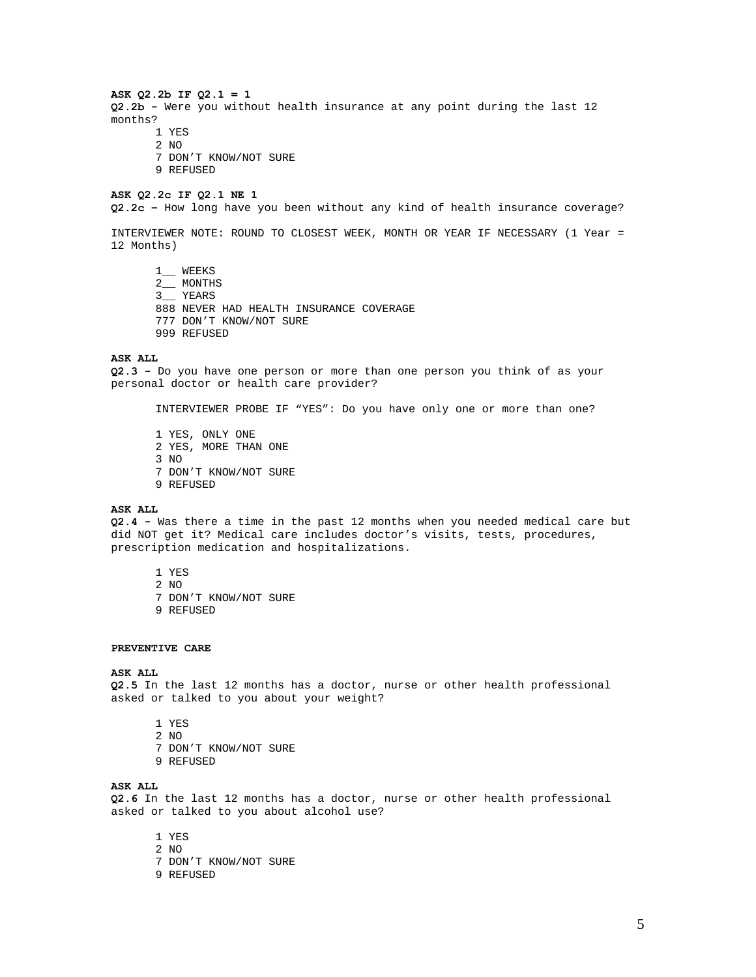**ASK Q2.2b IF Q2.1 = 1 Q2.2b -** Were you without health insurance at any point during the last 12 months?

- 1 YES
- 2 NO
- 7 DON'T KNOW/NOT SURE
- 9 REFUSED

**ASK Q2.2c IF Q2.1 NE 1 Q2.2c –** How long have you been without any kind of health insurance coverage?

INTERVIEWER NOTE: ROUND TO CLOSEST WEEK, MONTH OR YEAR IF NECESSARY (1 Year = 12 Months)

1\_\_ WEEKS 2\_\_ MONTHS 3\_\_ YEARS 888 NEVER HAD HEALTH INSURANCE COVERAGE 777 DON'T KNOW/NOT SURE 999 REFUSED

## **ASK ALL**

**Q2.3 -** Do you have one person or more than one person you think of as your personal doctor or health care provider?

INTERVIEWER PROBE IF "YES": Do you have only one or more than one?

1 YES, ONLY ONE 2 YES, MORE THAN ONE 3 NO 7 DON'T KNOW/NOT SURE 9 REFUSED

# **ASK ALL**

**Q2.4 -** Was there a time in the past 12 months when you needed medical care but did NOT get it? Medical care includes doctor's visits, tests, procedures, prescription medication and hospitalizations.

1 YES 2 NO 7 DON'T KNOW/NOT SURE 9 REFUSED

#### **PREVENTIVE CARE**

#### **ASK ALL**

**Q2.5** In the last 12 months has a doctor, nurse or other health professional asked or talked to you about your weight?

- 1 YES
- 2 NO 7 DON'T KNOW/NOT SURE
- 9 REFUSED

# **ASK ALL**

**Q2.6** In the last 12 months has a doctor, nurse or other health professional asked or talked to you about alcohol use?

1 YES 2 NO 7 DON'T KNOW/NOT SURE 9 REFUSED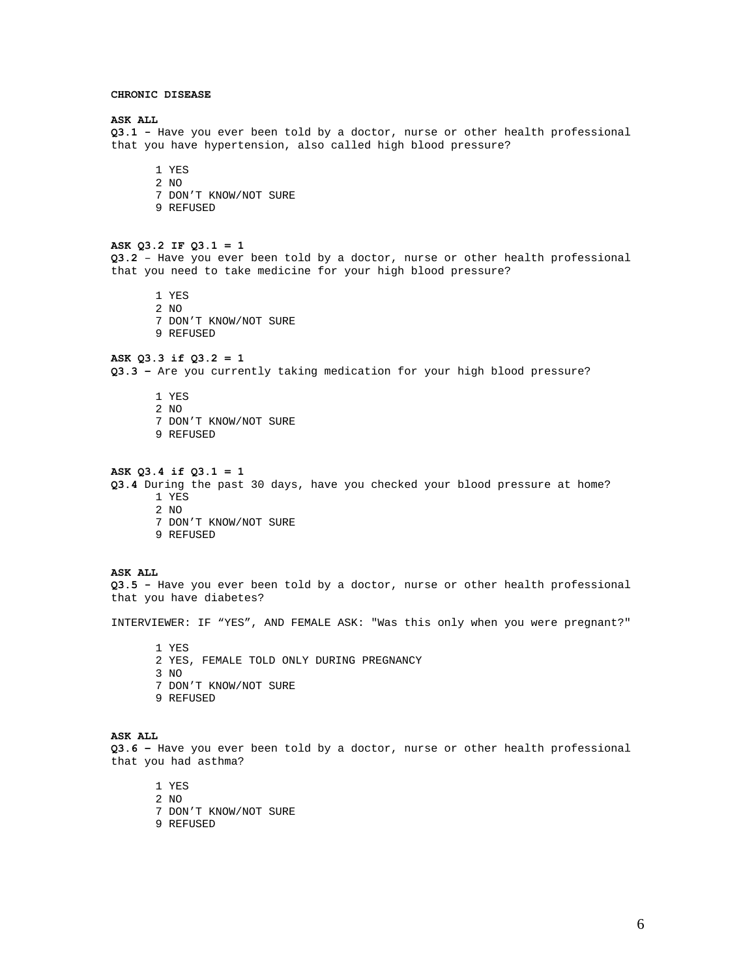## **CHRONIC DISEASE**

## **ASK ALL**

**Q3.1 -** Have you ever been told by a doctor, nurse or other health professional that you have hypertension, also called high blood pressure?

- 1 YES
- 2 NO
- 7 DON'T KNOW/NOT SURE
- 9 REFUSED

# **ASK Q3.2 IF Q3.1 = 1**

**Q3.2** – Have you ever been told by a doctor, nurse or other health professional that you need to take medicine for your high blood pressure?

- 1 YES 2 NO 7 DON'T KNOW/NOT SURE 9 REFUSED
- **ASK Q3.3 if Q3.2 = 1**

**Q3.3 –** Are you currently taking medication for your high blood pressure?

- 1 YES  $2 \text{ N}$
- 7 DON'T KNOW/NOT SURE
- 9 REFUSED

#### **ASK Q3.4 if Q3.1 = 1**

**Q3.4** During the past 30 days, have you checked your blood pressure at home? 1 YES

- 2 NO
- 7 DON'T KNOW/NOT SURE
- 9 REFUSED

## **ASK ALL**

**Q3.5 -** Have you ever been told by a doctor, nurse or other health professional that you have diabetes?

INTERVIEWER: IF "YES", AND FEMALE ASK: "Was this only when you were pregnant?"

- 1 YES 2 YES, FEMALE TOLD ONLY DURING PREGNANCY 3 NO 7 DON'T KNOW/NOT SURE 9 REFUSED
- 

# **ASK ALL**

**Q3.6 –** Have you ever been told by a doctor, nurse or other health professional that you had asthma?

1 YES

- 2 NO
- 7 DON'T KNOW/NOT SURE
- 9 REFUSED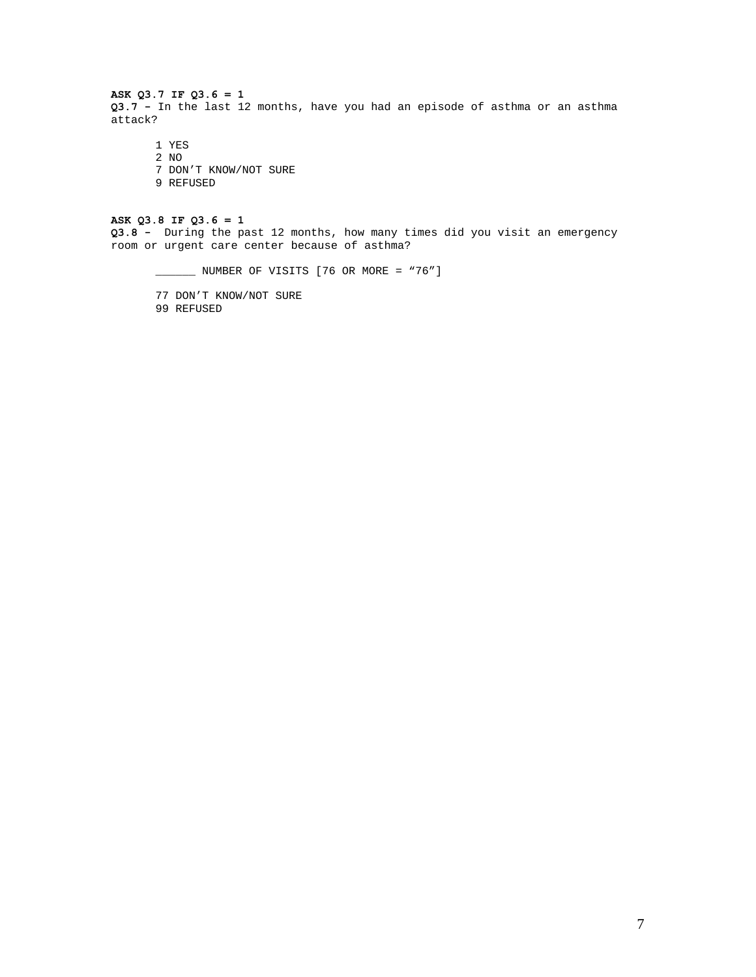**ASK Q3.7 IF Q3.6 = 1 Q3.7 -** In the last 12 months, have you had an episode of asthma or an asthma attack?

1 YES 2 NO 7 DON'T KNOW/NOT SURE 9 REFUSED

# **ASK Q3.8 IF Q3.6 = 1**

**Q3.8 -** During the past 12 months, how many times did you visit an emergency room or urgent care center because of asthma?

\_\_\_\_\_\_\_\_ NUMBER OF VISITS [76 OR MORE = "76"]

77 DON'T KNOW/NOT SURE 99 REFUSED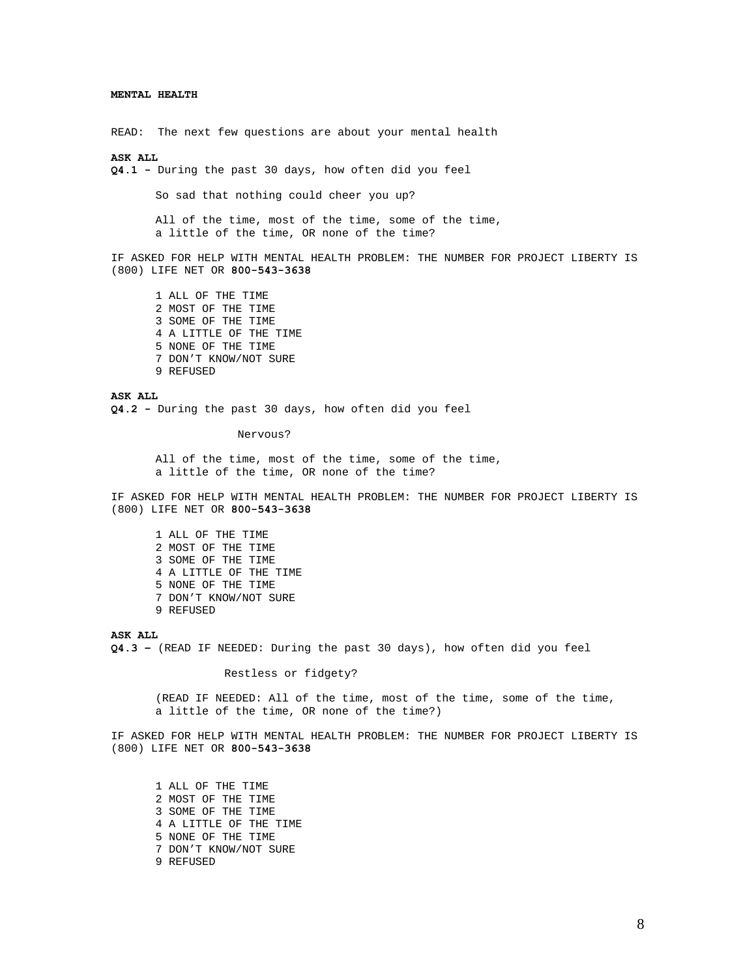## **MENTAL HEALTH**

READ: The next few questions are about your mental health

#### **ASK ALL**

**Q4.1 -** During the past 30 days, how often did you feel

So sad that nothing could cheer you up?

All of the time, most of the time, some of the time, a little of the time, OR none of the time?

IF ASKED FOR HELP WITH MENTAL HEALTH PROBLEM: THE NUMBER FOR PROJECT LIBERTY IS (800) LIFE NET OR **800-543-3638**

1 ALL OF THE TIME 2 MOST OF THE TIME 3 SOME OF THE TIME 4 A LITTLE OF THE TIME 5 NONE OF THE TIME 7 DON'T KNOW/NOT SURE 9 REFUSED

**ASK ALL Q4.2 -** During the past 30 days, how often did you feel

Nervous?

All of the time, most of the time, some of the time, a little of the time, OR none of the time?

IF ASKED FOR HELP WITH MENTAL HEALTH PROBLEM: THE NUMBER FOR PROJECT LIBERTY IS (800) LIFE NET OR **800-543-3638**

1 ALL OF THE TIME 2 MOST OF THE TIME 3 SOME OF THE TIME 4 A LITTLE OF THE TIME 5 NONE OF THE TIME 7 DON'T KNOW/NOT SURE 9 REFUSED

#### **ASK ALL**

**Q4.3 –** (READ IF NEEDED: During the past 30 days), how often did you feel

Restless or fidgety?

(READ IF NEEDED: All of the time, most of the time, some of the time, a little of the time, OR none of the time?)

IF ASKED FOR HELP WITH MENTAL HEALTH PROBLEM: THE NUMBER FOR PROJECT LIBERTY IS (800) LIFE NET OR **800-543-3638**

1 ALL OF THE TIME 2 MOST OF THE TIME 3 SOME OF THE TIME 4 A LITTLE OF THE TIME 5 NONE OF THE TIME 7 DON'T KNOW/NOT SURE 9 REFUSED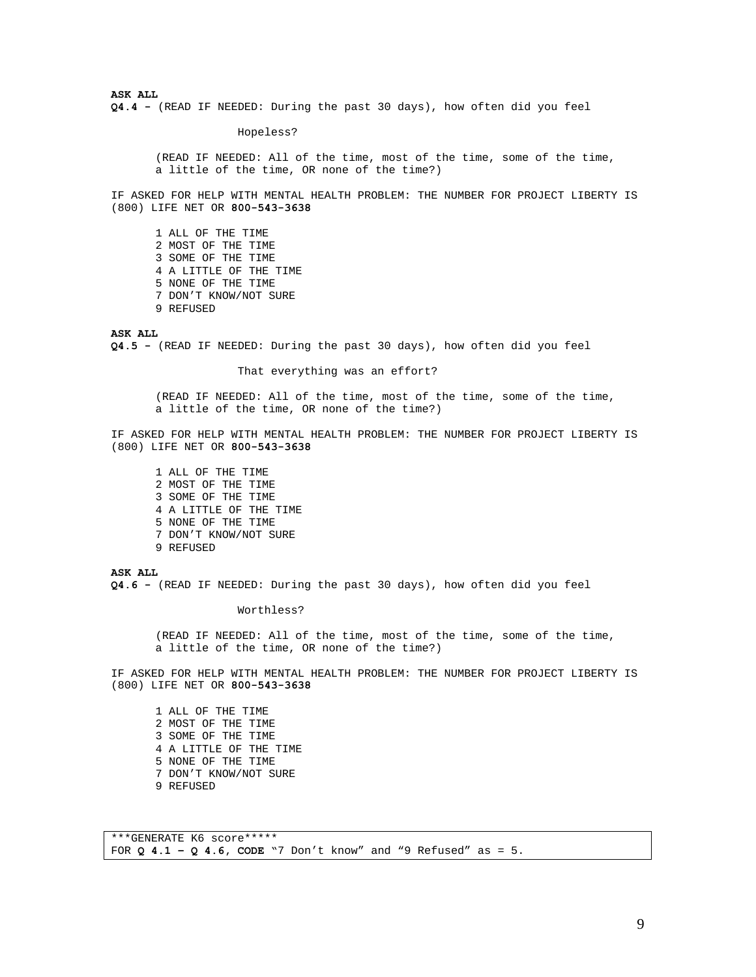**ASK ALL Q4.4 -** (READ IF NEEDED: During the past 30 days), how often did you feel

Hopeless?

(READ IF NEEDED: All of the time, most of the time, some of the time, a little of the time, OR none of the time?)

IF ASKED FOR HELP WITH MENTAL HEALTH PROBLEM: THE NUMBER FOR PROJECT LIBERTY IS (800) LIFE NET OR **800-543-3638**

1 ALL OF THE TIME 2 MOST OF THE TIME 3 SOME OF THE TIME 4 A LITTLE OF THE TIME 5 NONE OF THE TIME 7 DON'T KNOW/NOT SURE 9 REFUSED

#### **ASK ALL**

**Q4.5 -** (READ IF NEEDED: During the past 30 days), how often did you feel

That everything was an effort?

(READ IF NEEDED: All of the time, most of the time, some of the time, a little of the time, OR none of the time?)

IF ASKED FOR HELP WITH MENTAL HEALTH PROBLEM: THE NUMBER FOR PROJECT LIBERTY IS (800) LIFE NET OR **800-543-3638**

1 ALL OF THE TIME 2 MOST OF THE TIME 3 SOME OF THE TIME 4 A LITTLE OF THE TIME 5 NONE OF THE TIME 7 DON'T KNOW/NOT SURE 9 REFUSED

**ASK ALL Q4.6 -** (READ IF NEEDED: During the past 30 days), how often did you feel

Worthless?

(READ IF NEEDED: All of the time, most of the time, some of the time, a little of the time, OR none of the time?)

IF ASKED FOR HELP WITH MENTAL HEALTH PROBLEM: THE NUMBER FOR PROJECT LIBERTY IS (800) LIFE NET OR **800-543-3638**

1 ALL OF THE TIME 2 MOST OF THE TIME 3 SOME OF THE TIME 4 A LITTLE OF THE TIME 5 NONE OF THE TIME 7 DON'T KNOW/NOT SURE 9 REFUSED

\*\*\*GENERATE K6 score\*\*\*\*\* FOR **Q 4.1 – Q 4.6, CODE "**7 Don't know" and "9 Refused" as = 5.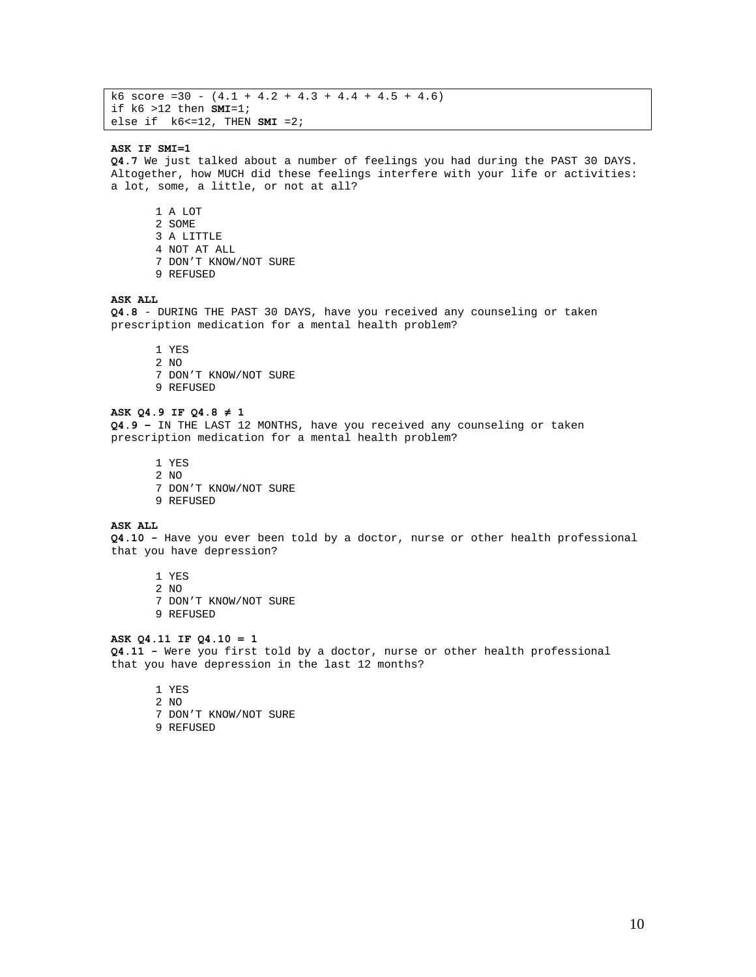```
k6 score =30 - (4.1 + 4.2 + 4.3 + 4.4 + 4.5 + 4.6)if k6 >12 then SMI=1; 
else if k6<=12, THEN SMI =2;
```
## **ASK IF SMI=1**

**Q4.7** We just talked about a number of feelings you had during the PAST 30 DAYS. Altogether, how MUCH did these feelings interfere with your life or activities: a lot, some, a little, or not at all?

1 A LOT 2 SOME 3 A LITTLE 4 NOT AT ALL 7 DON'T KNOW/NOT SURE 9 REFUSED

#### **ASK ALL**

**Q4.8** - DURING THE PAST 30 DAYS, have you received any counseling or taken prescription medication for a mental health problem?

1 YES 2 NO 7 DON'T KNOW/NOT SURE 9 REFUSED

#### ASK  $Q4.9$  IF  $Q4.8 \neq 1$

**Q4.9 –** IN THE LAST 12 MONTHS, have you received any counseling or taken prescription medication for a mental health problem?

1 YES 2 NO 7 DON'T KNOW/NOT SURE 9 REFUSED

#### **ASK ALL**

**Q4.10 -** Have you ever been told by a doctor, nurse or other health professional that you have depression?

1 YES 2 NO 7 DON'T KNOW/NOT SURE 9 REFUSED

# **ASK Q4.11 IF Q4.10 = 1**

**Q4.11 -** Were you first told by a doctor, nurse or other health professional that you have depression in the last 12 months?

- 1 YES
- 2 NO
- 7 DON'T KNOW/NOT SURE
- 9 REFUSED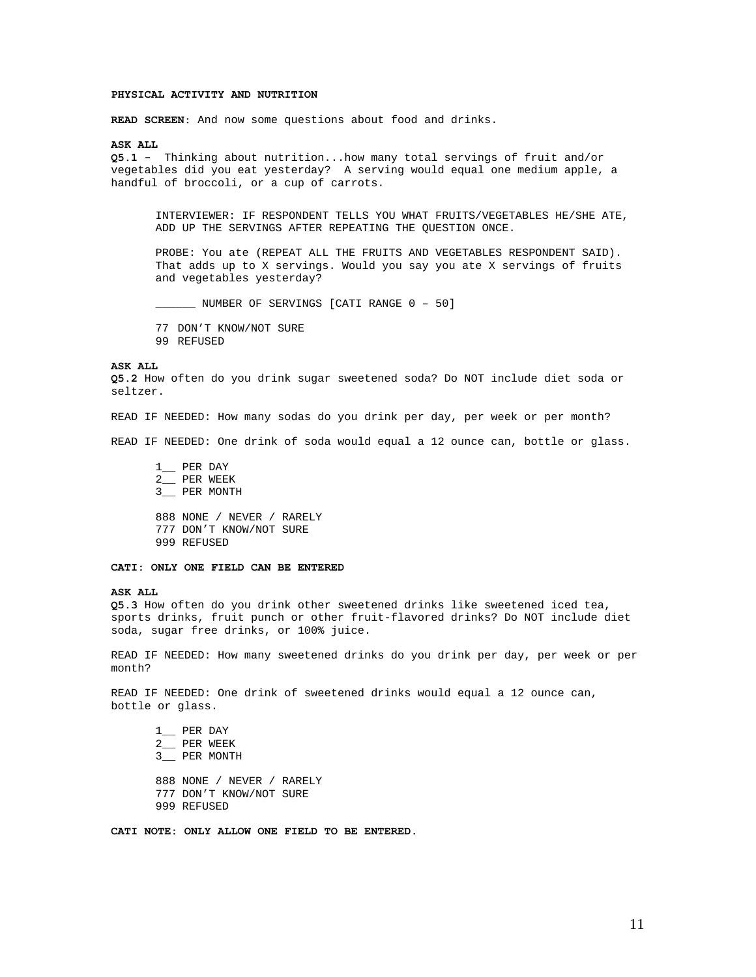#### **PHYSICAL ACTIVITY AND NUTRITION**

**READ SCREEN:** And now some questions about food and drinks.

#### ASK ALL.

**Q5.1 -** Thinking about nutrition...how many total servings of fruit and/or vegetables did you eat yesterday? A serving would equal one medium apple, a handful of broccoli, or a cup of carrots.

INTERVIEWER: IF RESPONDENT TELLS YOU WHAT FRUITS/VEGETABLES HE/SHE ATE, ADD UP THE SERVINGS AFTER REPEATING THE QUESTION ONCE.

PROBE: You ate (REPEAT ALL THE FRUITS AND VEGETABLES RESPONDENT SAID). That adds up to X servings. Would you say you ate X servings of fruits and vegetables yesterday?

\_\_\_\_\_\_ NUMBER OF SERVINGS [CATI RANGE 0 – 50]

77 DON'T KNOW/NOT SURE 99 REFUSED

#### ASK ALL

**Q5.2** How often do you drink sugar sweetened soda? Do NOT include diet soda or seltzer.

READ IF NEEDED: How many sodas do you drink per day, per week or per month?

READ IF NEEDED: One drink of soda would equal a 12 ounce can, bottle or glass.

1\_\_ PER DAY 2\_\_ PER WEEK 3\_\_ PER MONTH 888 NONE / NEVER / RARELY 777 DON'T KNOW/NOT SURE 999 REFUSED

#### **CATI: ONLY ONE FIELD CAN BE ENTERED**

#### **ASK ALL**

**Q5.3** How often do you drink other sweetened drinks like sweetened iced tea, sports drinks, fruit punch or other fruit-flavored drinks? Do NOT include diet soda, sugar free drinks, or 100% juice.

READ IF NEEDED: How many sweetened drinks do you drink per day, per week or per month?

READ IF NEEDED: One drink of sweetened drinks would equal a 12 ounce can, bottle or glass.

1\_\_ PER DAY 2\_\_ PER WEEK 3\_\_ PER MONTH 888 NONE / NEVER / RARELY 777 DON'T KNOW/NOT SURE 999 REFUSED

**CATI NOTE: ONLY ALLOW ONE FIELD TO BE ENTERED.**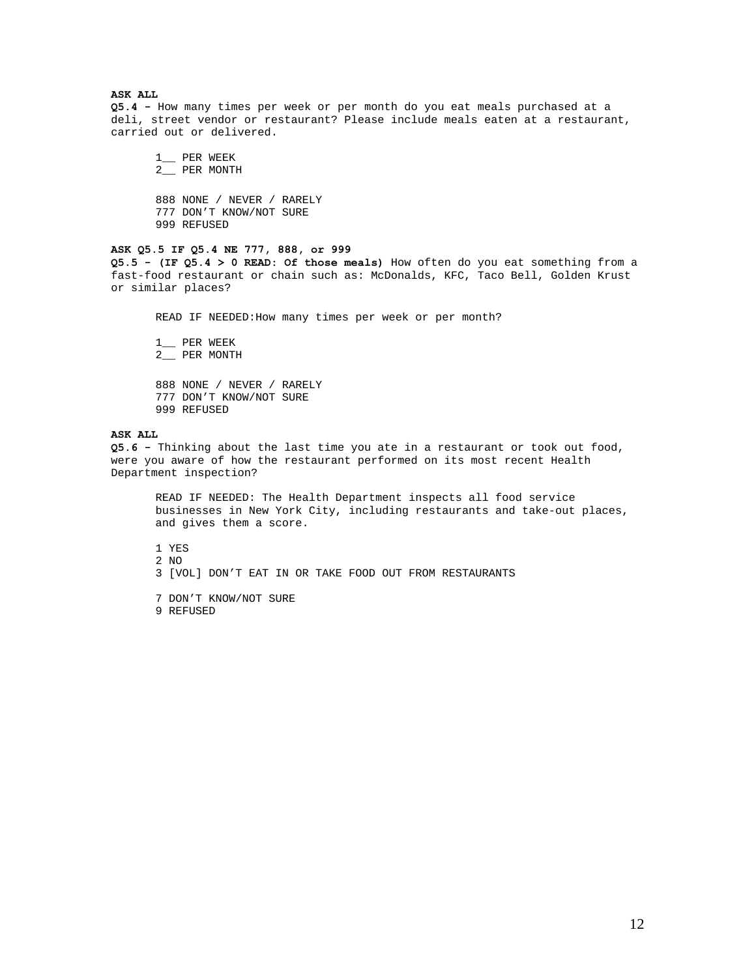# **ASK ALL**

**Q5.4 -** How many times per week or per month do you eat meals purchased at a deli, street vendor or restaurant? Please include meals eaten at a restaurant, carried out or delivered.

1\_\_ PER WEEK 2\_\_ PER MONTH 888 NONE / NEVER / RARELY 777 DON'T KNOW/NOT SURE 999 REFUSED

## **ASK Q5.5 IF Q5.4 NE 777, 888, or 999**

**Q5.5 - (IF Q5.4 > 0 READ: Of those meals)** How often do you eat something from a fast-food restaurant or chain such as: McDonalds, KFC, Taco Bell, Golden Krust or similar places?

READ IF NEEDED:How many times per week or per month?

1\_\_ PER WEEK 2\_\_ PER MONTH 888 NONE / NEVER / RARELY 777 DON'T KNOW/NOT SURE 999 REFUSED

# **ASK ALL**

**Q5.6 -** Thinking about the last time you ate in a restaurant or took out food, were you aware of how the restaurant performed on its most recent Health Department inspection?

READ IF NEEDED: The Health Department inspects all food service businesses in New York City, including restaurants and take-out places, and gives them a score.

1 YES 2 NO 3 [VOL] DON'T EAT IN OR TAKE FOOD OUT FROM RESTAURANTS 7 DON'T KNOW/NOT SURE

9 REFUSED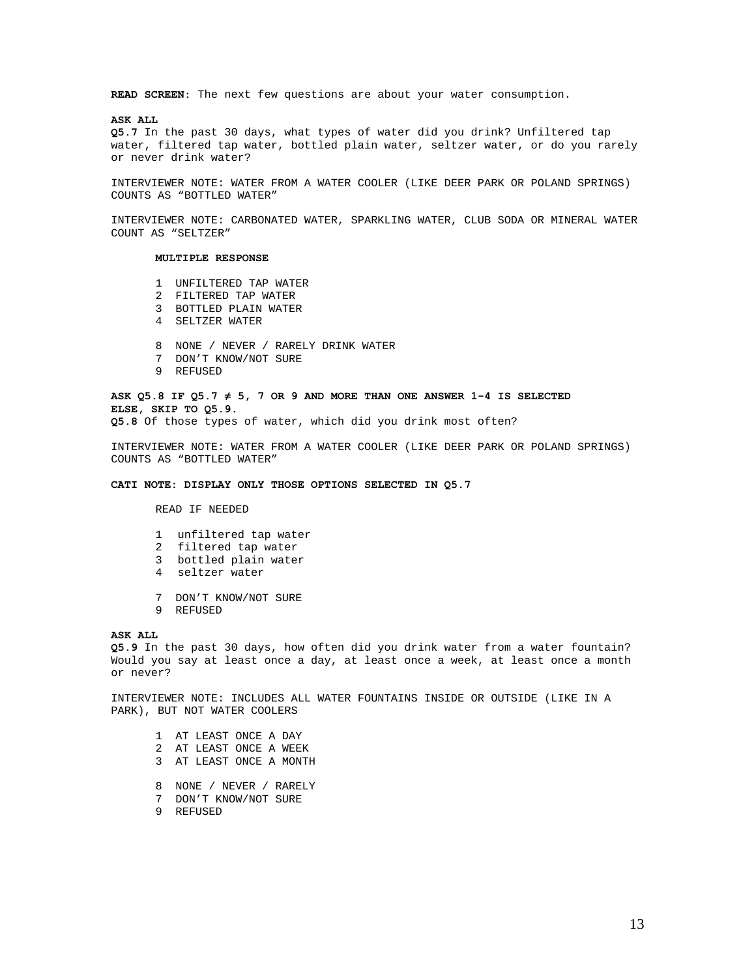**READ SCREEN:** The next few questions are about your water consumption.

## **ASK ALL**

**Q5.7** In the past 30 days, what types of water did you drink? Unfiltered tap water, filtered tap water, bottled plain water, seltzer water, or do you rarely or never drink water?

INTERVIEWER NOTE: WATER FROM A WATER COOLER (LIKE DEER PARK OR POLAND SPRINGS) COUNTS AS "BOTTLED WATER"

INTERVIEWER NOTE: CARBONATED WATER, SPARKLING WATER, CLUB SODA OR MINERAL WATER COUNT AS "SELTZER"

#### **MULTIPLE RESPONSE**

- 1 UNFILTERED TAP WATER
- 2 FILTERED TAP WATER
- 3 BOTTLED PLAIN WATER
- 4 SELTZER WATER
- 8 NONE / NEVER / RARELY DRINK WATER
- 7 DON'T KNOW/NOT SURE
- 9 REFUSED

ASK  $Q5.8$  IF  $Q5.7 \neq 5$ , 7 OR 9 AND MORE THAN ONE ANSWER 1-4 IS SELECTED **ELSE, SKIP TO Q5.9.** 

**Q5.8** Of those types of water, which did you drink most often?

INTERVIEWER NOTE: WATER FROM A WATER COOLER (LIKE DEER PARK OR POLAND SPRINGS) COUNTS AS "BOTTLED WATER"

#### **CATI NOTE: DISPLAY ONLY THOSE OPTIONS SELECTED IN Q5.7**

READ IF NEEDED

- 1 unfiltered tap water
- 2 filtered tap water
- 3 bottled plain water
- 4 seltzer water
- 7 DON'T KNOW/NOT SURE
- 9 REFUSED

#### **ASK ALL**

**Q5.9** In the past 30 days, how often did you drink water from a water fountain? Would you say at least once a day, at least once a week, at least once a month or never?

INTERVIEWER NOTE: INCLUDES ALL WATER FOUNTAINS INSIDE OR OUTSIDE (LIKE IN A PARK), BUT NOT WATER COOLERS

1 AT LEAST ONCE A DAY 2 AT LEAST ONCE A WEEK 3 AT LEAST ONCE A MONTH 8 NONE / NEVER / RARELY 7 DON'T KNOW/NOT SURE 9 REFUSED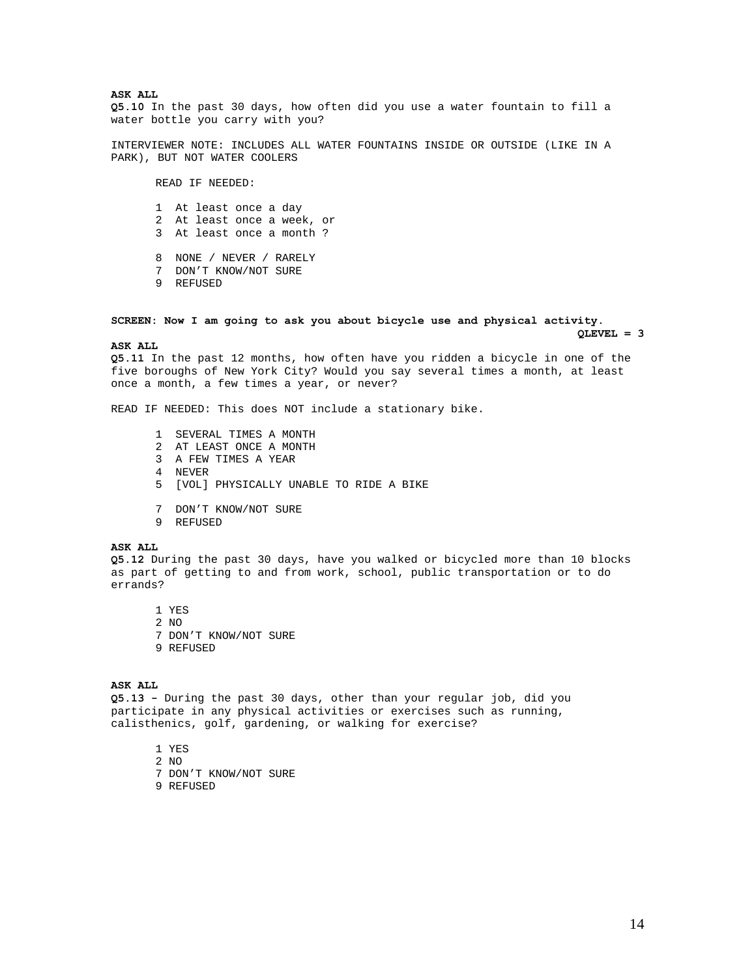## **ASK ALL**

**Q5.10** In the past 30 days, how often did you use a water fountain to fill a water bottle you carry with you?

INTERVIEWER NOTE: INCLUDES ALL WATER FOUNTAINS INSIDE OR OUTSIDE (LIKE IN A PARK), BUT NOT WATER COOLERS

READ IF NEEDED:

1 At least once a day 2 At least once a week, or 3 At least once a month ? 8 NONE / NEVER / RARELY 7 DON'T KNOW/NOT SURE 9 REFUSED

**SCREEN: Now I am going to ask you about bicycle use and physical activity. QLEVEL = 3** 

## **ASK ALL**

**Q5.11** In the past 12 months, how often have you ridden a bicycle in one of the five boroughs of New York City? Would you say several times a month, at least once a month, a few times a year, or never?

READ IF NEEDED: This does NOT include a stationary bike.

1 SEVERAL TIMES A MONTH

- 2 AT LEAST ONCE A MONTH
- 3 A FEW TIMES A YEAR
- 4 NEVER
- 5 [VOL] PHYSICALLY UNABLE TO RIDE A BIKE
- 7 DON'T KNOW/NOT SURE
- 9 REFUSED

#### **ASK ALL**

**Q5.12** During the past 30 days, have you walked or bicycled more than 10 blocks as part of getting to and from work, school, public transportation or to do errands?

1 YES 2 NO 7 DON'T KNOW/NOT SURE 9 REFUSED

**ASK ALL** 

**Q5.13 -** During the past 30 days, other than your regular job, did you participate in any physical activities or exercises such as running, calisthenics, golf, gardening, or walking for exercise?

- 1 YES
- 2 NO
- 7 DON'T KNOW/NOT SURE
- 9 REFUSED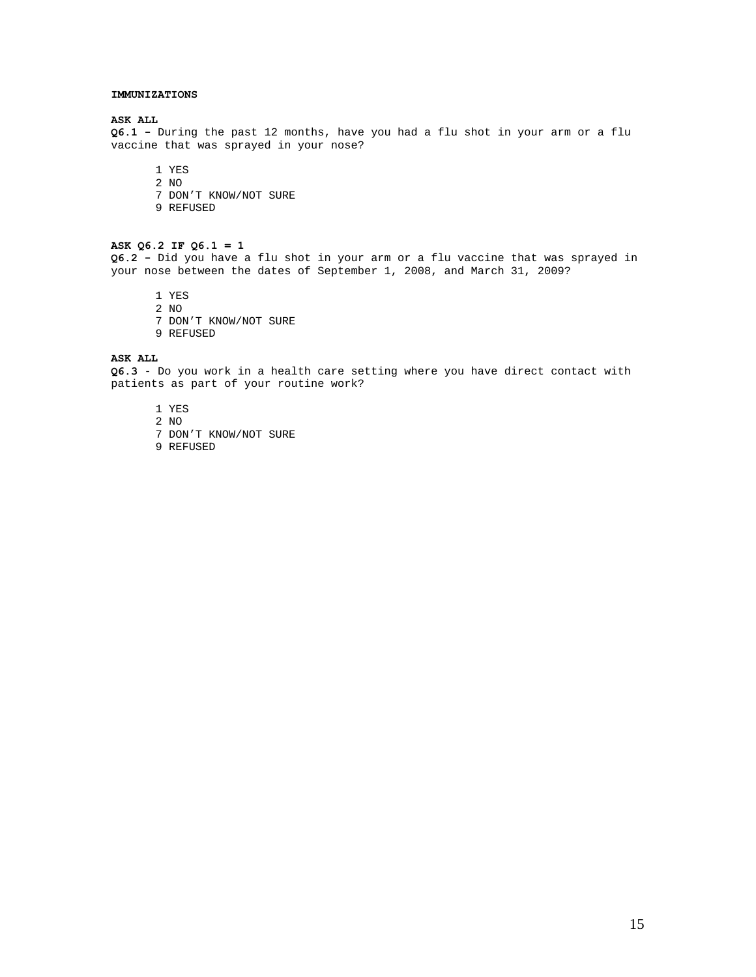## **IMMUNIZATIONS**

#### **ASK ALL**

**Q6.1 -** During the past 12 months, have you had a flu shot in your arm or a flu vaccine that was sprayed in your nose?

- 1 YES 2 NO 7 DON'T KNOW/NOT SURE
- 9 REFUSED

# **ASK Q6.2 IF Q6.1 = 1**

**Q6.2 -** Did you have a flu shot in your arm or a flu vaccine that was sprayed in your nose between the dates of September 1, 2008, and March 31, 2009?

- 1 YES
- 2 NO
- 7 DON'T KNOW/NOT SURE
- 9 REFUSED

# **ASK ALL**

**Q6.3** - Do you work in a health care setting where you have direct contact with patients as part of your routine work?

- 1 YES
- 2 NO
- 7 DON'T KNOW/NOT SURE
- 9 REFUSED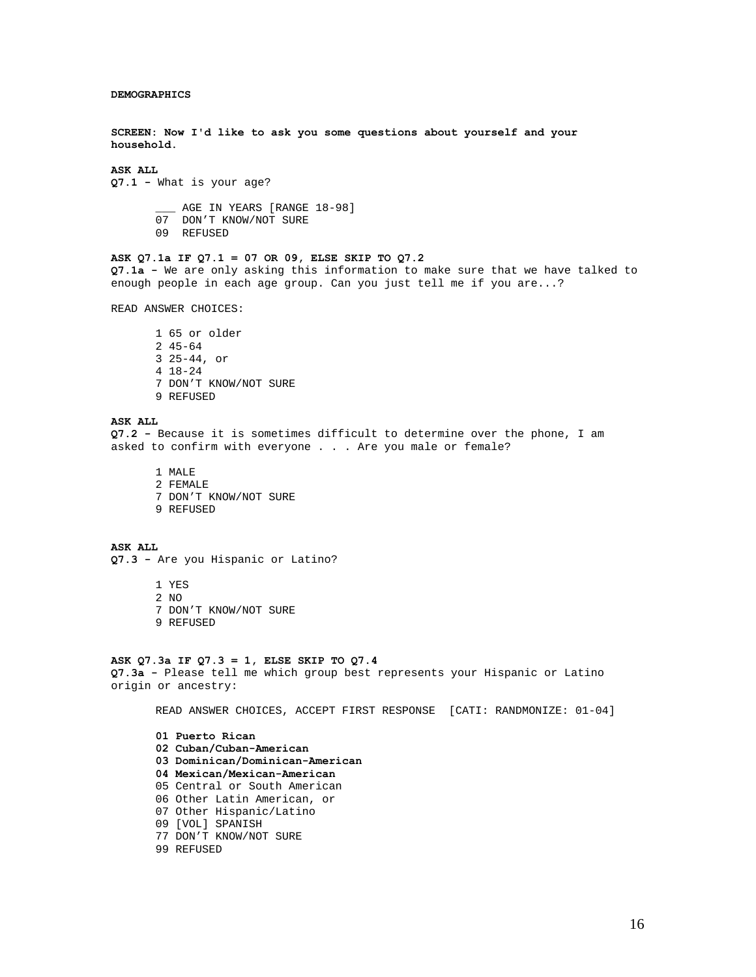## **DEMOGRAPHICS**

**SCREEN: Now I'd like to ask you some questions about yourself and your household.** 

# **ASK ALL**

**Q7.1 -** What is your age?

\_\_\_ AGE IN YEARS [RANGE 18-98] 07 DON'T KNOW/NOT SURE 09 REFUSED

# **ASK Q7.1a IF Q7.1 = 07 OR 09, ELSE SKIP TO Q7.2**

**Q7.1a -** We are only asking this information to make sure that we have talked to enough people in each age group. Can you just tell me if you are...?

READ ANSWER CHOICES:

1 65 or older 2 45-64 3 25-44, or 4 18-24 7 DON'T KNOW/NOT SURE 9 REFUSED

# **ASK ALL**

**Q7.2 -** Because it is sometimes difficult to determine over the phone, I am asked to confirm with everyone . . . Are you male or female?

1 MALE 2 FEMALE 7 DON'T KNOW/NOT SURE 9 REFUSED

#### **ASK ALL**

**Q7.3 -** Are you Hispanic or Latino?

1 YES 2 NO

- 7 DON'T KNOW/NOT SURE
- 9 REFUSED

#### **ASK Q7.3a IF Q7.3 = 1, ELSE SKIP TO Q7.4**

**Q7.3a -** Please tell me which group best represents your Hispanic or Latino origin or ancestry:

READ ANSWER CHOICES, ACCEPT FIRST RESPONSE [CATI: RANDMONIZE: 01-04]

- **01 Puerto Rican**
- **02 Cuban/Cuban-American**
- **03 Dominican/Dominican-American**
- **04 Mexican/Mexican-American**
- 05 Central or South American
- 06 Other Latin American, or
- 07 Other Hispanic/Latino
- 09 [VOL] SPANISH
- 77 DON'T KNOW/NOT SURE
- 99 REFUSED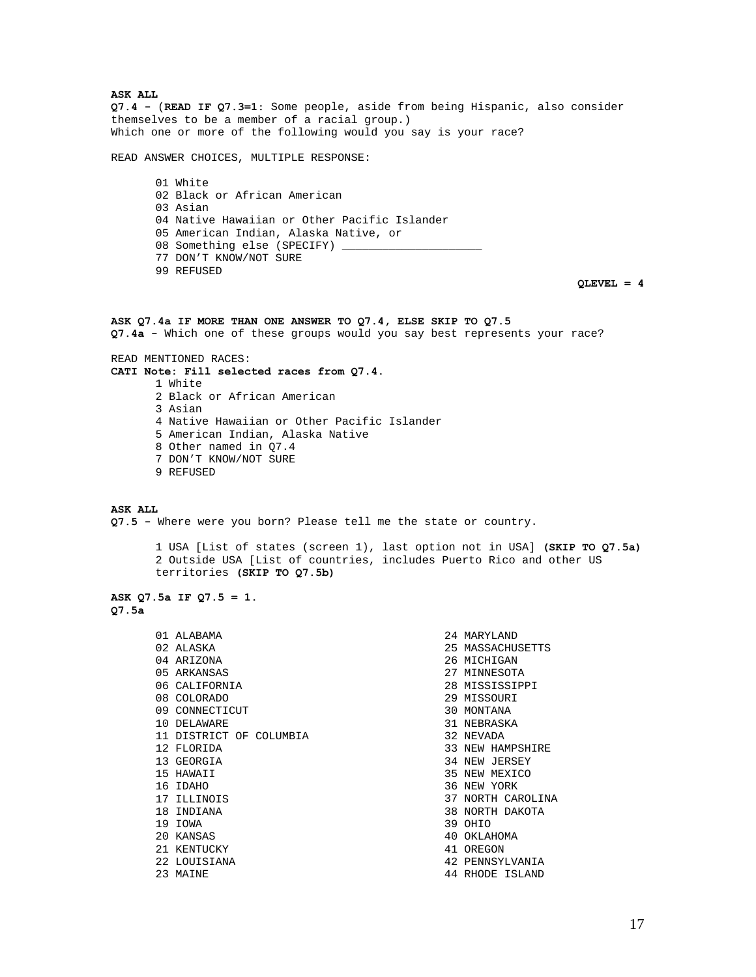**ASK ALL Q7.4 -** (**READ IF Q7.3=1:** Some people, aside from being Hispanic, also consider themselves to be a member of a racial group.) Which one or more of the following would you say is your race? READ ANSWER CHOICES, MULTIPLE RESPONSE: 01 White 02 Black or African American 03 Asian 04 Native Hawaiian or Other Pacific Islander 05 American Indian, Alaska Native, or 08 Something else (SPECIFY) \_ 77 DON'T KNOW/NOT SURE 99 REFUSED **QLEVEL = 4 ASK Q7.4a IF MORE THAN ONE ANSWER TO Q7.4, ELSE SKIP TO Q7.5 Q7.4a -** Which one of these groups would you say best represents your race? READ MENTIONED RACES: **CATI Note: Fill selected races from Q7.4.**  1 White 2 Black or African American 3 Asian 4 Native Hawaiian or Other Pacific Islander 5 American Indian, Alaska Native 8 Other named in Q7.4 7 DON'T KNOW/NOT SURE 9 REFUSED **ASK ALL Q7.5 -** Where were you born? Please tell me the state or country. 1 USA [List of states (screen 1), last option not in USA] **(SKIP TO Q7.5a)**  2 Outside USA [List of countries, includes Puerto Rico and other US territories **(SKIP TO Q7.5b) ASK Q7.5a IF Q7.5 = 1. Q7.5a**  01 ALABAMA 02 ALASKA 04 ARIZONA 05 ARKANSAS 06 CALIFORNIA 08 COLORADO 09 CONNECTICUT 10 DELAWARE 11 DISTRICT OF COLUMBIA 12 FLORIDA 13 GEORGIA 15 HAWAII 16 IDAHO 17 ILLINOIS 18 INDIANA 19 IOWA 20 KANSAS 21 KENTUCKY 22 LOUISIANA 23 MAINE 24 MARYLAND 25 MASSACHUSETTS 26 MICHIGAN 27 MINNESOTA 28 MISSISSIPPI 29 MISSOURI 30 MONTANA 31 NEBRASKA 32 NEVADA 33 NEW HAMPSHIRE 34 NEW JERSEY 35 NEW MEXICO 36 NEW YORK 37 NORTH CAROLINA 38 NORTH DAKOTA 39 OHIO 40 OKLAHOMA 41 OREGON 42 PENNSYLVANIA 44 RHODE ISLAND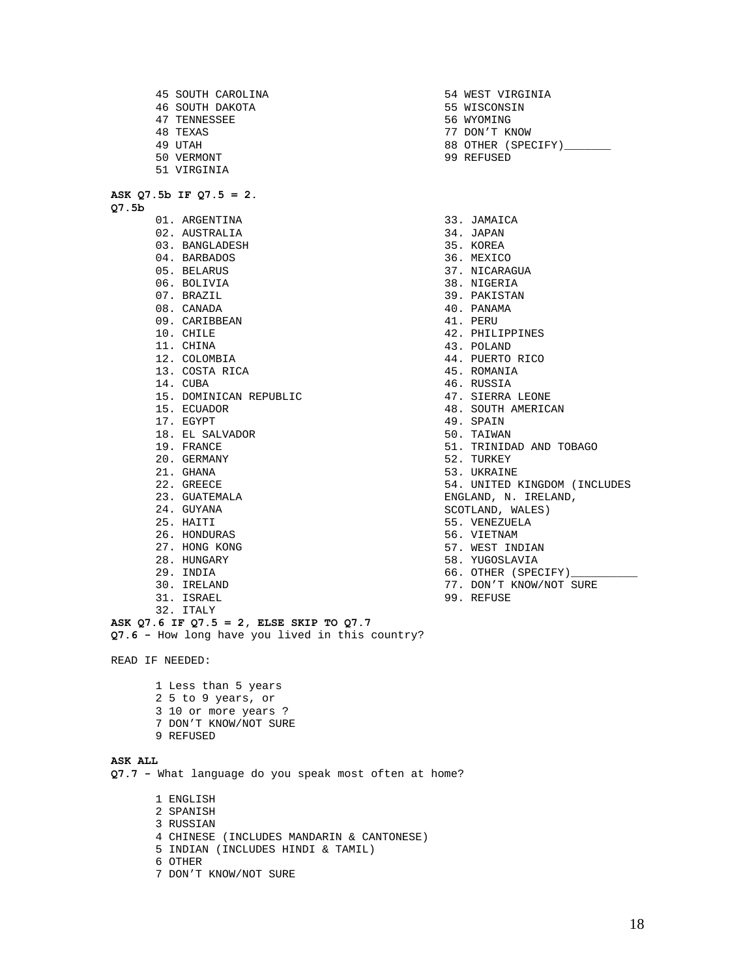45 SOUTH CAROLINA 46 SOUTH DAKOTA 47 TENNESSEE 48 TEXAS 49 UTAH 50 VERMONT 51 VIRGINIA **ASK Q7.5b IF Q7.5 = 2. Q7.5b**  01. ARGENTINA 02. AUSTRALIA 03. BANGLADESH 04. BARBADOS 05. BELARUS 06. BOLIVIA 07. BRAZIL 08. CANADA 09. CARIBBEAN 10. CHILE 11. CHINA 12. COLOMBIA 13. COSTA RICA 14. CUBA 15. DOMINICAN REPUBLIC 15. ECUADOR 17. EGYPT 18. EL SALVADOR 19. FRANCE 20. GERMANY 21. GHANA 22. GREECE 23. GUATEMALA 24. GUYANA 25. HAITI 26. HONDURAS 27. HONG KONG 28. HUNGARY 29. INDIA 30. IRELAND 31. ISRAEL 32. ITALY **ASK Q7.6 IF Q7.5 = 2, ELSE SKIP TO Q7.7 Q7.6 -** How long have you lived in this country? READ IF NEEDED: 1 Less than 5 years 2 5 to 9 years, or 3 10 or more years ? 7 DON'T KNOW/NOT SURE 9 REFUSED **ASK ALL Q7.7 -** What language do you speak most often at home? 1 ENGLISH 2 SPANISH 3 RUSSIAN 4 CHINESE (INCLUDES MANDARIN & CANTONESE) 5 INDIAN (INCLUDES HINDI & TAMIL)

6 OTHER

7 DON'T KNOW/NOT SURE

54 WEST VIRGINIA 55 WISCONSIN 56 WYOMING 77 DON'T KNOW 88 OTHER (SPECIFY)\_\_\_\_\_\_\_ 99 REFUSED

33. JAMAICA 34. JAPAN 35. KOREA 36. MEXICO 37. NICARAGUA 38. NIGERIA 39. PAKISTAN 40. PANAMA 41. PERU 42. PHILIPPINES 43. POLAND 44. PUERTO RICO 45. ROMANIA 46. RUSSIA 47. SIERRA LEONE 48. SOUTH AMERICAN 49. SPAIN 50. TAIWAN 51. TRINIDAD AND TOBAGO 52. TURKEY 53. UKRAINE 54. UNITED KINGDOM (INCLUDES ENGLAND, N. IRELAND, SCOTLAND, WALES) 55. VENEZUELA 56. VIETNAM 57. WEST INDIAN 58. YUGOSLAVIA 66. OTHER (SPECIFY) 77. DON'T KNOW/NOT SURE 99. REFUSE

18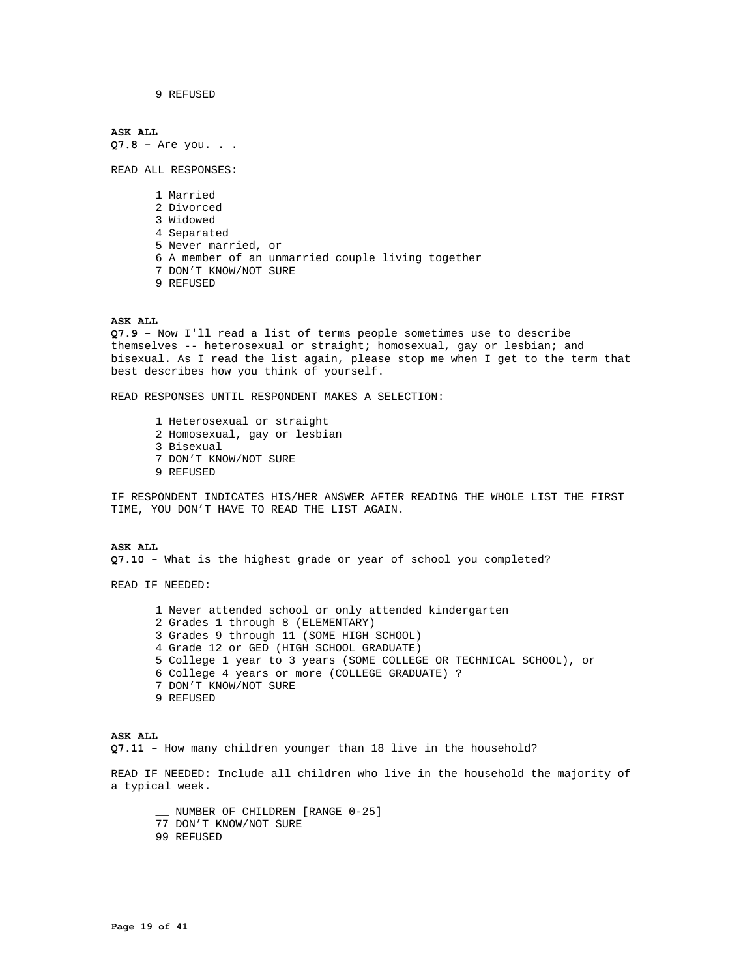9 REFUSED

**ASK ALL Q7.8 -** Are you. . .

READ ALL RESPONSES:

1 Married 2 Divorced 3 Widowed 4 Separated 5 Never married, or 6 A member of an unmarried couple living together 7 DON'T KNOW/NOT SURE 9 REFUSED

## **ASK ALL**

**Q7.9 -** Now I'll read a list of terms people sometimes use to describe themselves -- heterosexual or straight; homosexual, gay or lesbian; and bisexual. As I read the list again, please stop me when I get to the term that best describes how you think of yourself.

READ RESPONSES UNTIL RESPONDENT MAKES A SELECTION:

1 Heterosexual or straight 2 Homosexual, gay or lesbian 3 Bisexual 7 DON'T KNOW/NOT SURE 9 REFUSED

IF RESPONDENT INDICATES HIS/HER ANSWER AFTER READING THE WHOLE LIST THE FIRST TIME, YOU DON'T HAVE TO READ THE LIST AGAIN.

**ASK ALL Q7.10 -** What is the highest grade or year of school you completed?

READ IF NEEDED:

1 Never attended school or only attended kindergarten 2 Grades 1 through 8 (ELEMENTARY) 3 Grades 9 through 11 (SOME HIGH SCHOOL) 4 Grade 12 or GED (HIGH SCHOOL GRADUATE) 5 College 1 year to 3 years (SOME COLLEGE OR TECHNICAL SCHOOL), or 6 College 4 years or more (COLLEGE GRADUATE) ? 7 DON'T KNOW/NOT SURE 9 REFUSED

# **ASK ALL**

**Q7.11 -** How many children younger than 18 live in the household?

READ IF NEEDED: Include all children who live in the household the majority of a typical week.

\_\_ NUMBER OF CHILDREN [RANGE 0-25] 77 DON'T KNOW/NOT SURE 99 REFUSED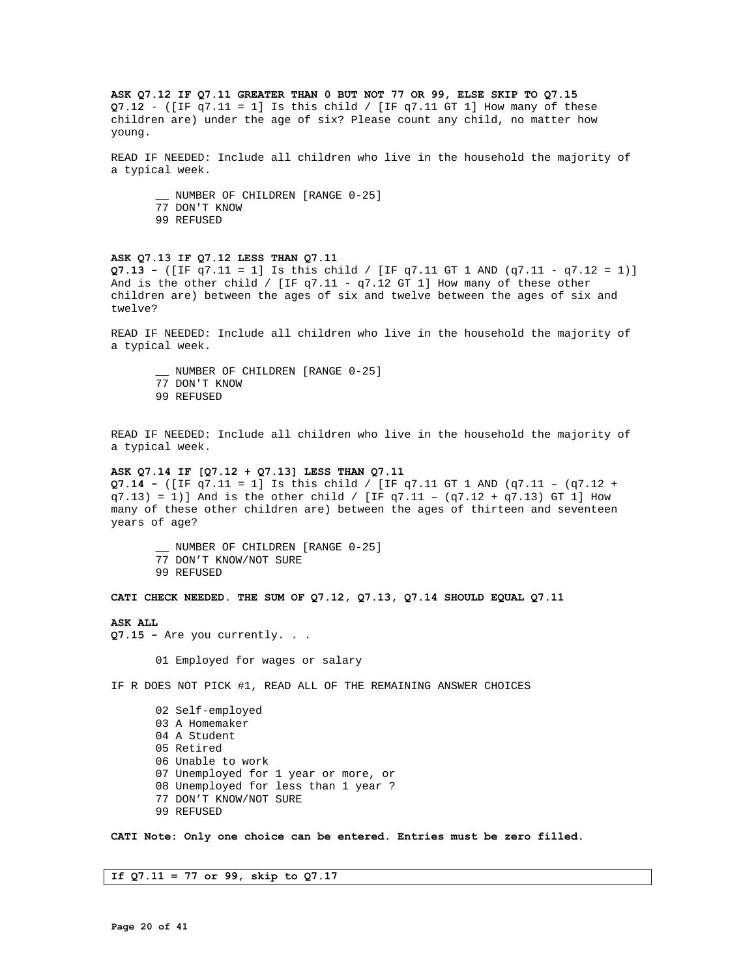**ASK Q7.12 IF Q7.11 GREATER THAN 0 BUT NOT 77 OR 99, ELSE SKIP TO Q7.15**   $Q7.12$  - ([IF q7.11 = 1] Is this child / [IF q7.11 GT 1] How many of these children are) under the age of six? Please count any child, no matter how young.

READ IF NEEDED: Include all children who live in the household the majority of a typical week.

\_\_ NUMBER OF CHILDREN [RANGE 0-25] 77 DON'T KNOW 99 REFUSED

#### **ASK Q7.13 IF Q7.12 LESS THAN Q7.11**

**Q7.13 -** ([IF q7.11 = 1] Is this child / [IF q7.11 GT 1 AND (q7.11 - q7.12 = 1)] And is the other child / [IF  $q7.11 - q7.12$  GT 1] How many of these other children are) between the ages of six and twelve between the ages of six and twelve?

READ IF NEEDED: Include all children who live in the household the majority of a typical week.

\_\_ NUMBER OF CHILDREN [RANGE 0-25] 77 DON'T KNOW 99 REFUSED

READ IF NEEDED: Include all children who live in the household the majority of a typical week.

#### **ASK Q7.14 IF [Q7.12 + Q7.13] LESS THAN Q7.11**

**Q7.14 -** ([IF q7.11 = 1] Is this child / [IF q7.11 GT 1 AND (q7.11 – (q7.12 +  $q7.13$ ) = 1)] And is the other child / [IF  $q7.11 - (q7.12 + q7.13)$  GT 1] How many of these other children are) between the ages of thirteen and seventeen years of age?

\_\_ NUMBER OF CHILDREN [RANGE 0-25] 77 DON'T KNOW/NOT SURE 99 REFUSED

**CATI CHECK NEEDED. THE SUM OF Q7.12, Q7.13, Q7.14 SHOULD EQUAL Q7.11** 

**ASK ALL** 

**Q7.15 -** Are you currently. . .

01 Employed for wages or salary

IF R DOES NOT PICK #1, READ ALL OF THE REMAINING ANSWER CHOICES

02 Self-employed 03 A Homemaker 04 A Student 05 Retired 06 Unable to work 07 Unemployed for 1 year or more, or 08 Unemployed for less than 1 year ? 77 DON'T KNOW/NOT SURE 99 REFUSED

**CATI Note: Only one choice can be entered. Entries must be zero filled.** 

**If Q7.11 = 77 or 99, skip to Q7.17**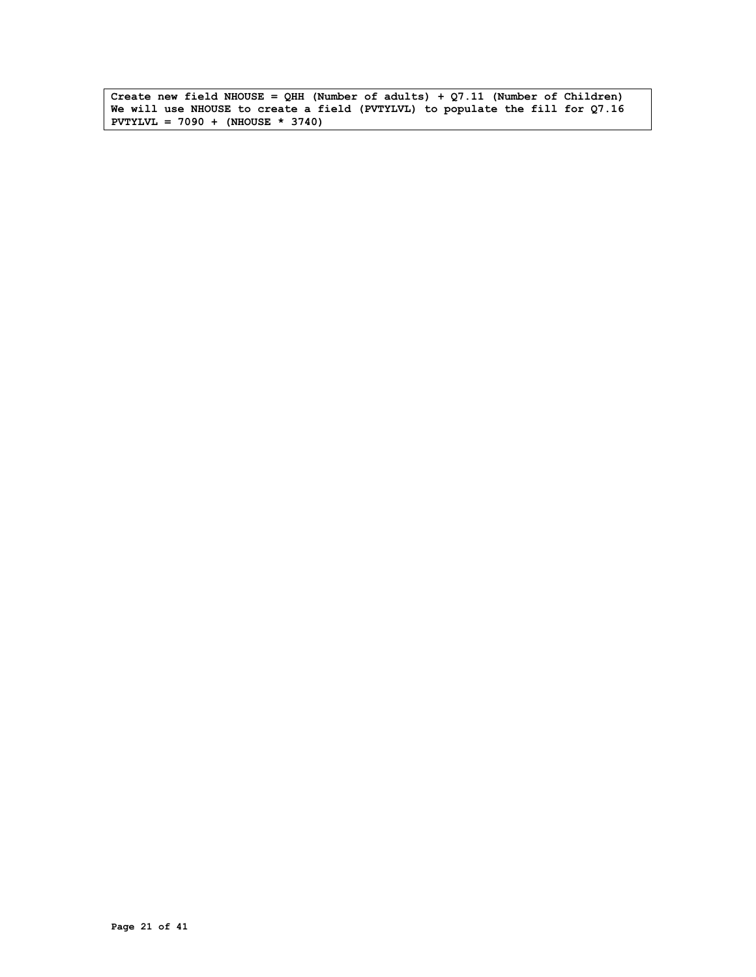**Create new field NHOUSE = QHH (Number of adults) + Q7.11 (Number of Children) We will use NHOUSE to create a field (PVTYLVL) to populate the fill for Q7.16 PVTYLVL = 7090 + (NHOUSE \* 3740)**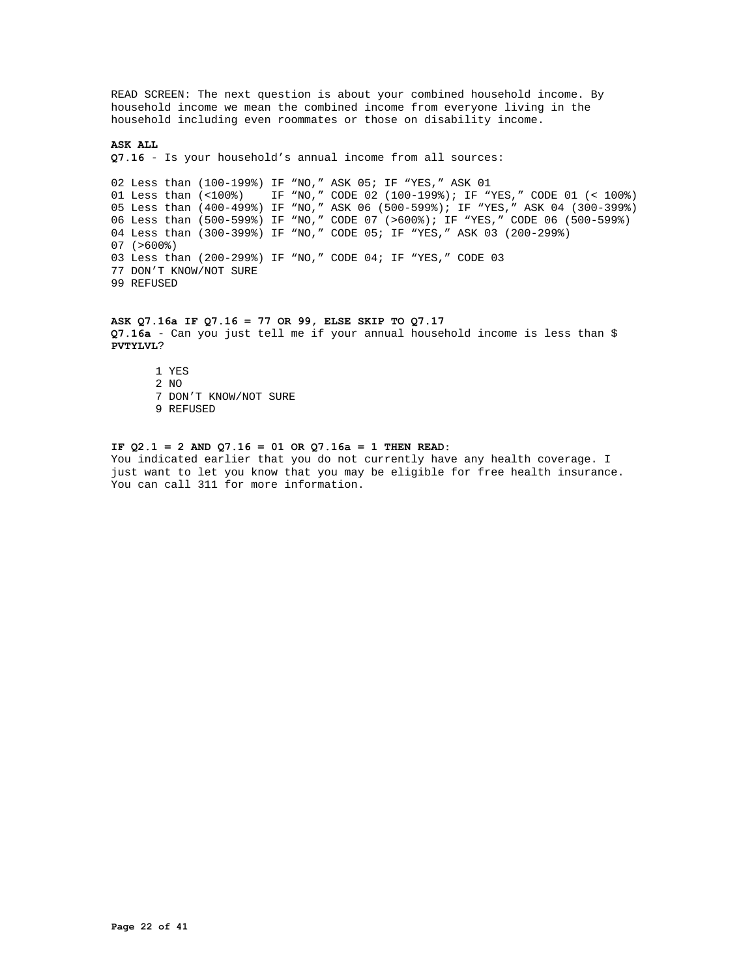READ SCREEN: The next question is about your combined household income. By household income we mean the combined income from everyone living in the household including even roommates or those on disability income.

#### ASK ALL

**Q7.16** - Is your household's annual income from all sources:

```
02 Less than (100-199%) IF "NO," ASK 05; IF "YES," ASK 01 
01 Less than (<100%) IF "NO," CODE 02 (100-199%); IF "YES," CODE 01 (< 100%) 
05 Less than (400-499%) IF "NO," ASK 06 (500-599%); IF "YES," ASK 04 (300-399%) 
06 Less than (500-599%) IF "NO," CODE 07 (>600%); IF "YES," CODE 06 (500-599%) 
04 Less than (300-399%) IF "NO," CODE 05; IF "YES," ASK 03 (200-299%) 
07 (>600%) 
03 Less than (200-299%) IF "NO," CODE 04; IF "YES," CODE 03 
77 DON'T KNOW/NOT SURE 
99 REFUSED
```
# **ASK Q7.16a IF Q7.16 = 77 OR 99, ELSE SKIP TO Q7.17**

**Q7.16a** - Can you just tell me if your annual household income is less than \$ **PVTYLVL**?

1 YES 2 NO 7 DON'T KNOW/NOT SURE 9 REFUSED

#### **IF Q2.1 = 2 AND Q7.16 = 01 OR Q7.16a = 1 THEN READ:**

You indicated earlier that you do not currently have any health coverage. I just want to let you know that you may be eligible for free health insurance. You can call 311 for more information.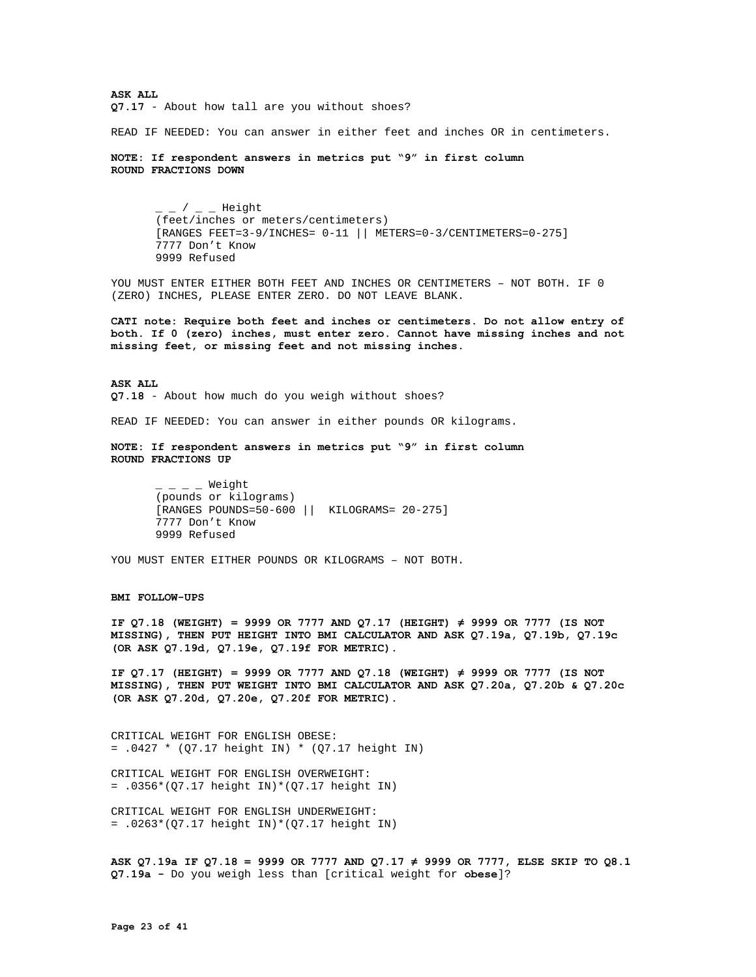**ASK ALL Q7.17** - About how tall are you without shoes?

READ IF NEEDED: You can answer in either feet and inches OR in centimeters.

**NOTE: If respondent answers in metrics put "9" in first column ROUND FRACTIONS DOWN** 

> $\_$  /  $\_$   $=$  Height (feet/inches or meters/centimeters) [RANGES FEET=3-9/INCHES= 0-11 || METERS=0-3/CENTIMETERS=0-275] 7777 Don't Know 9999 Refused

YOU MUST ENTER EITHER BOTH FEET AND INCHES OR CENTIMETERS – NOT BOTH. IF 0 (ZERO) INCHES, PLEASE ENTER ZERO. DO NOT LEAVE BLANK.

**CATI note: Require both feet and inches or centimeters. Do not allow entry of both. If 0 (zero) inches, must enter zero. Cannot have missing inches and not missing feet, or missing feet and not missing inches.** 

**ASK ALL Q7.18** - About how much do you weigh without shoes?

READ IF NEEDED: You can answer in either pounds OR kilograms.

**NOTE: If respondent answers in metrics put "9" in first column ROUND FRACTIONS UP** 

> $-$  Weight (pounds or kilograms) [RANGES POUNDS=50-600 || KILOGRAMS= 20-275] 7777 Don't Know 9999 Refused

YOU MUST ENTER EITHER POUNDS OR KILOGRAMS – NOT BOTH.

#### **BMI FOLLOW-UPS**

**IF Q7.18 (WEIGHT) = 9999 OR 7777 AND Q7.17 (HEIGHT) ≠ 9999 OR 7777 (IS NOT MISSING), THEN PUT HEIGHT INTO BMI CALCULATOR AND ASK Q7.19a, Q7.19b, Q7.19c (OR ASK Q7.19d, Q7.19e, Q7.19f FOR METRIC).** 

**IF Q7.17 (HEIGHT) = 9999 OR 7777 AND Q7.18 (WEIGHT) ≠ 9999 OR 7777 (IS NOT MISSING), THEN PUT WEIGHT INTO BMI CALCULATOR AND ASK Q7.20a, Q7.20b & Q7.20c (OR ASK Q7.20d, Q7.20e, Q7.20f FOR METRIC).** 

CRITICAL WEIGHT FOR ENGLISH OBESE:  $= .0427 * (Q7.17 \text{ height} \text{IN}) * (Q7.17 \text{ height} \text{IN})$ 

CRITICAL WEIGHT FOR ENGLISH OVERWEIGHT: = .0356\*(Q7.17 height IN)\*(Q7.17 height IN)

CRITICAL WEIGHT FOR ENGLISH UNDERWEIGHT: = .0263\*(Q7.17 height IN)\*(Q7.17 height IN)

**ASK Q7.19a IF Q7.18 = 9999 OR 7777 AND Q7.17 ≠ 9999 OR 7777, ELSE SKIP TO Q8.1 Q7.19a -** Do you weigh less than [critical weight for **obese**]?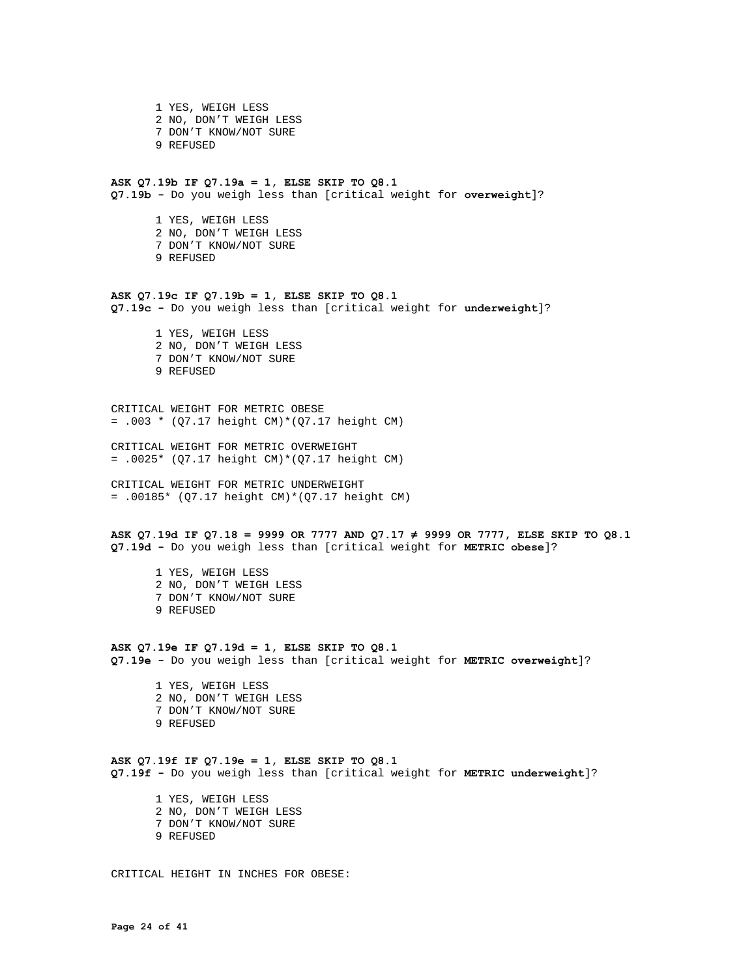1 YES, WEIGH LESS 2 NO, DON'T WEIGH LESS 7 DON'T KNOW/NOT SURE 9 REFUSED

# **ASK Q7.19b IF Q7.19a = 1, ELSE SKIP TO Q8.1 Q7.19b -** Do you weigh less than [critical weight for **overweight**]?

1 YES, WEIGH LESS 2 NO, DON'T WEIGH LESS 7 DON'T KNOW/NOT SURE 9 REFUSED

## **ASK Q7.19c IF Q7.19b = 1, ELSE SKIP TO Q8.1 Q7.19c -** Do you weigh less than [critical weight for **underweight**]?

1 YES, WEIGH LESS 2 NO, DON'T WEIGH LESS 7 DON'T KNOW/NOT SURE 9 REFUSED

CRITICAL WEIGHT FOR METRIC OBESE = .003 \* (Q7.17 height CM)\*(Q7.17 height CM)

CRITICAL WEIGHT FOR METRIC OVERWEIGHT = .0025\* (Q7.17 height CM)\*(Q7.17 height CM)

CRITICAL WEIGHT FOR METRIC UNDERWEIGHT = .00185\* (Q7.17 height CM)\*(Q7.17 height CM)

**ASK Q7.19d IF Q7.18 = 9999 OR 7777 AND Q7.17 ≠ 9999 OR 7777, ELSE SKIP TO Q8.1 Q7.19d -** Do you weigh less than [critical weight for **METRIC obese**]?

1 YES, WEIGH LESS 2 NO, DON'T WEIGH LESS 7 DON'T KNOW/NOT SURE 9 REFUSED

**ASK Q7.19e IF Q7.19d = 1, ELSE SKIP TO Q8.1 Q7.19e -** Do you weigh less than [critical weight for **METRIC overweight**]?

1 YES, WEIGH LESS 2 NO, DON'T WEIGH LESS 7 DON'T KNOW/NOT SURE 9 REFUSED

# **ASK Q7.19f IF Q7.19e = 1, ELSE SKIP TO Q8.1 Q7.19f -** Do you weigh less than [critical weight for **METRIC underweight**]?

1 YES, WEIGH LESS 2 NO, DON'T WEIGH LESS 7 DON'T KNOW/NOT SURE 9 REFUSED

CRITICAL HEIGHT IN INCHES FOR OBESE: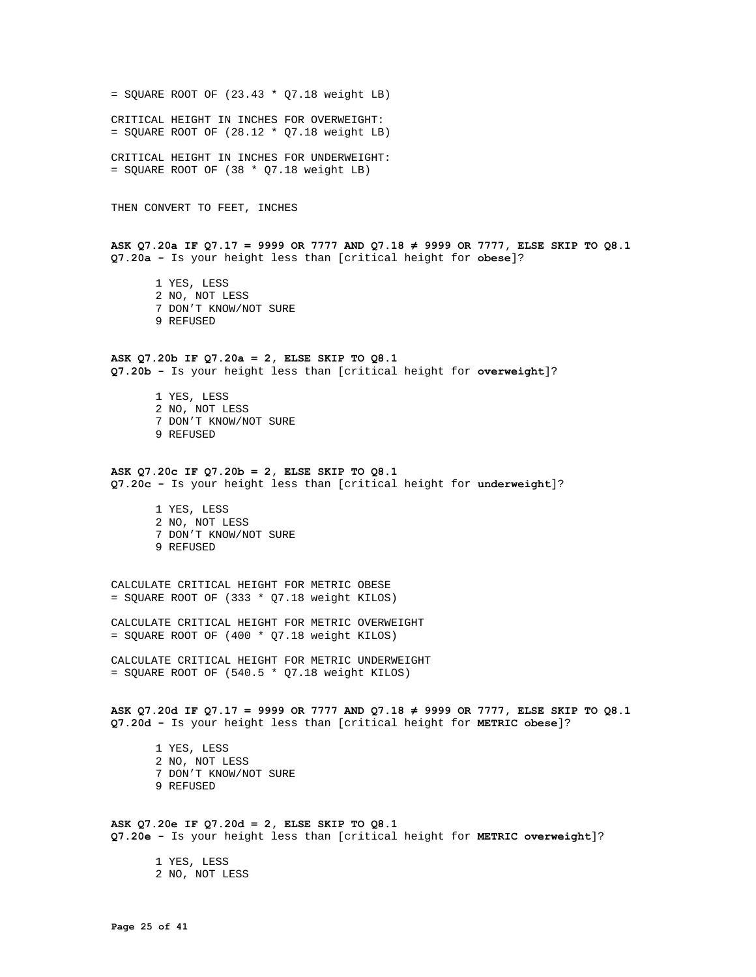$=$  SQUARE ROOT OF (23.43  $*$  Q7.18 weight LB) CRITICAL HEIGHT IN INCHES FOR OVERWEIGHT:  $=$  SQUARE ROOT OF (28.12  $*$  Q7.18 weight LB) CRITICAL HEIGHT IN INCHES FOR UNDERWEIGHT: = SQUARE ROOT OF (38 \* Q7.18 weight LB) THEN CONVERT TO FEET, INCHES **ASK Q7.20a IF Q7.17 = 9999 OR 7777 AND Q7.18 ≠ 9999 OR 7777, ELSE SKIP TO Q8.1 Q7.20a -** Is your height less than [critical height for **obese**]? 1 YES, LESS 2 NO, NOT LESS 7 DON'T KNOW/NOT SURE 9 REFUSED **ASK Q7.20b IF Q7.20a = 2, ELSE SKIP TO Q8.1 Q7.20b -** Is your height less than [critical height for **overweight**]? 1 YES, LESS 2 NO, NOT LESS 7 DON'T KNOW/NOT SURE 9 REFUSED **ASK Q7.20c IF Q7.20b = 2, ELSE SKIP TO Q8.1 Q7.20c -** Is your height less than [critical height for **underweight**]? 1 YES, LESS 2 NO, NOT LESS 7 DON'T KNOW/NOT SURE 9 REFUSED CALCULATE CRITICAL HEIGHT FOR METRIC OBESE  $=$  SQUARE ROOT OF (333  $*$  Q7.18 weight KILOS) CALCULATE CRITICAL HEIGHT FOR METRIC OVERWEIGHT = SQUARE ROOT OF (400 \* Q7.18 weight KILOS) CALCULATE CRITICAL HEIGHT FOR METRIC UNDERWEIGHT  $=$  SQUARE ROOT OF (540.5  $*$  Q7.18 weight KILOS) **ASK Q7.20d IF Q7.17 = 9999 OR 7777 AND Q7.18 ≠ 9999 OR 7777, ELSE SKIP TO Q8.1 Q7.20d -** Is your height less than [critical height for **METRIC obese**]? 1 YES, LESS 2 NO, NOT LESS 7 DON'T KNOW/NOT SURE 9 REFUSED **ASK Q7.20e IF Q7.20d = 2, ELSE SKIP TO Q8.1 Q7.20e -** Is your height less than [critical height for **METRIC overweight**]?

1 YES, LESS 2 NO, NOT LESS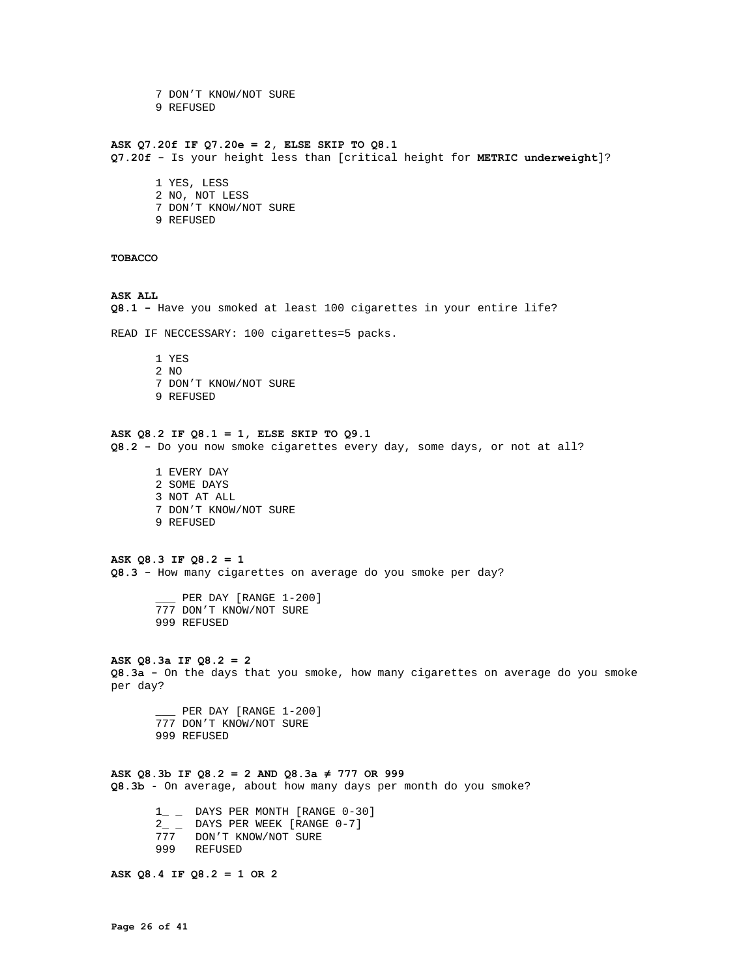7 DON'T KNOW/NOT SURE 9 REFUSED

## **ASK Q7.20f IF Q7.20e = 2, ELSE SKIP TO Q8.1**

**Q7.20f -** Is your height less than [critical height for **METRIC underweight**]?

- 1 YES, LESS
- 2 NO, NOT LESS
- 7 DON'T KNOW/NOT SURE
- 9 REFUSED

# **TOBACCO**

**ASK ALL Q8.1 -** Have you smoked at least 100 cigarettes in your entire life?

READ IF NECCESSARY: 100 cigarettes=5 packs.

1 YES 2 NO 7 DON'T KNOW/NOT SURE 9 REFUSED

# **ASK Q8.2 IF Q8.1 = 1, ELSE SKIP TO Q9.1**

**Q8.2 -** Do you now smoke cigarettes every day, some days, or not at all?

1 EVERY DAY 2 SOME DAYS 3 NOT AT ALL 7 DON'T KNOW/NOT SURE 9 REFUSED

**ASK Q8.3 IF Q8.2 = 1 Q8.3 -** How many cigarettes on average do you smoke per day?

> \_\_\_ PER DAY [RANGE 1-200] 777 DON'T KNOW/NOT SURE 999 REFUSED

#### **ASK Q8.3a IF Q8.2 = 2**

**Q8.3a -** On the days that you smoke, how many cigarettes on average do you smoke per day?

\_\_\_ PER DAY [RANGE 1-200] 777 DON'T KNOW/NOT SURE 999 REFUSED

**ASK Q8.3b IF Q8.2 = 2 AND Q8.3a ≠ 777 OR 999 Q8.3b** - On average, about how many days per month do you smoke?

1\_ \_ DAYS PER MONTH [RANGE 0-30] 2\_ \_ DAYS PER WEEK [RANGE 0-7] 777 DON'T KNOW/NOT SURE 999 REFUSED

**ASK Q8.4 IF Q8.2 = 1 OR 2**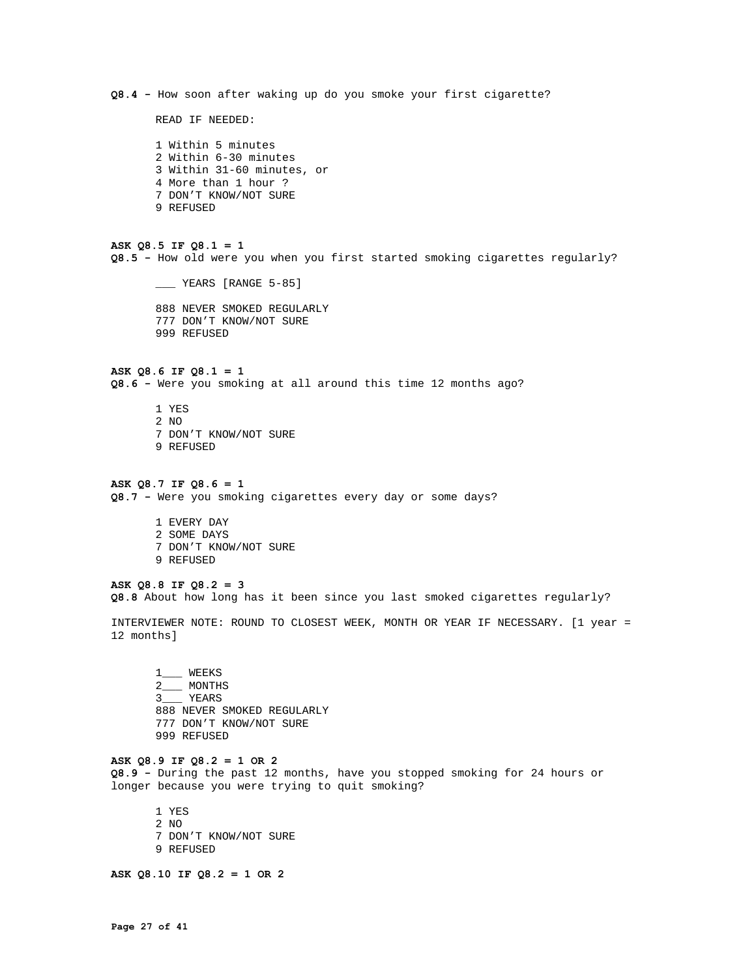**Q8.4 -** How soon after waking up do you smoke your first cigarette?

READ IF NEEDED:

1 Within 5 minutes 2 Within 6-30 minutes 3 Within 31-60 minutes, or 4 More than 1 hour ? 7 DON'T KNOW/NOT SURE 9 REFUSED

**ASK Q8.5 IF Q8.1 = 1 Q8.5 -** How old were you when you first started smoking cigarettes regularly?

\_\_\_ YEARS [RANGE 5-85]

888 NEVER SMOKED REGULARLY 777 DON'T KNOW/NOT SURE 999 REFUSED

**ASK Q8.6 IF Q8.1 = 1** 

**Q8.6 -** Were you smoking at all around this time 12 months ago?

1 YES 2 NO 7 DON'T KNOW/NOT SURE 9 REFUSED

**ASK Q8.7 IF Q8.6 = 1 Q8.7 -** Were you smoking cigarettes every day or some days?

> 1 EVERY DAY 2 SOME DAYS 7 DON'T KNOW/NOT SURE 9 REFUSED

**ASK Q8.8 IF Q8.2 = 3 Q8.8** About how long has it been since you last smoked cigarettes regularly?

INTERVIEWER NOTE: ROUND TO CLOSEST WEEK, MONTH OR YEAR IF NECESSARY. [1 year = 12 months]

 1\_\_\_ WEEKS 2\_\_\_ MONTHS 3\_\_\_ YEARS 888 NEVER SMOKED REGULARLY 777 DON'T KNOW/NOT SURE 999 REFUSED

## **ASK Q8.9 IF Q8.2 = 1 OR 2**

**Q8.9 -** During the past 12 months, have you stopped smoking for 24 hours or longer because you were trying to quit smoking?

1 YES 2 NO 7 DON'T KNOW/NOT SURE 9 REFUSED

**ASK Q8.10 IF Q8.2 = 1 OR 2**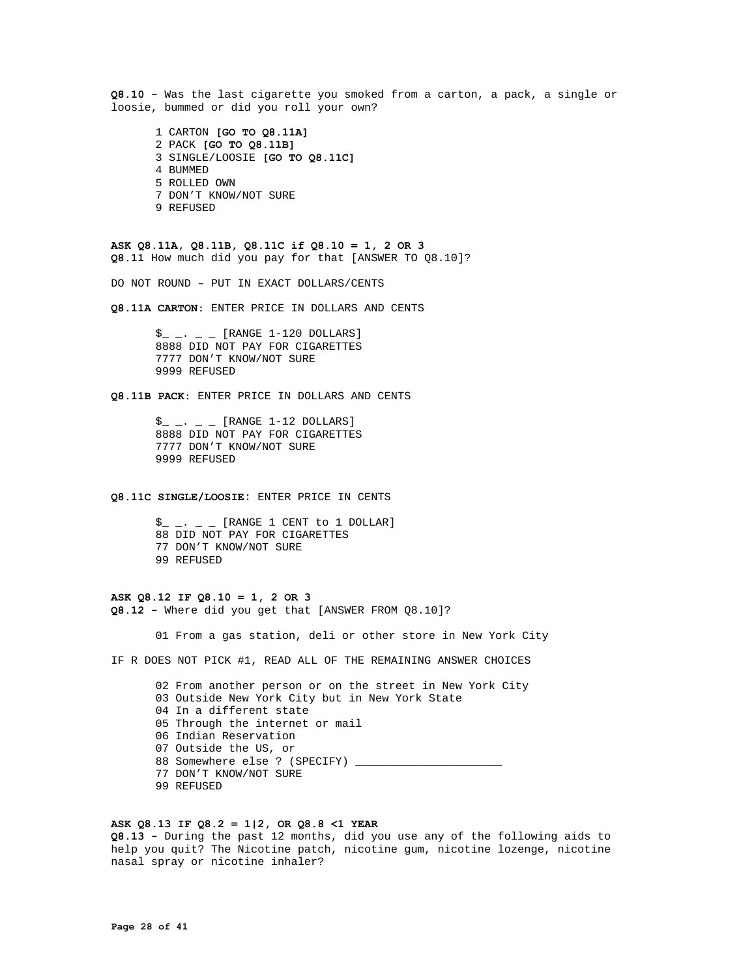**Q8.10 -** Was the last cigarette you smoked from a carton, a pack, a single or loosie, bummed or did you roll your own?

 1 CARTON **[GO TO Q8.11A]**  2 PACK **[GO TO Q8.11B]**  3 SINGLE/LOOSIE **[GO TO Q8.11C]**  4 BUMMED 5 ROLLED OWN 7 DON'T KNOW/NOT SURE 9 REFUSED

**ASK Q8.11A, Q8.11B, Q8.11C if Q8.10 = 1, 2 OR 3 Q8.11** How much did you pay for that [ANSWER TO Q8.10]?

DO NOT ROUND – PUT IN EXACT DOLLARS/CENTS

**Q8.11A CARTON:** ENTER PRICE IN DOLLARS AND CENTS

 $\_$  [RANGE 1-120 DOLLARS] 8888 DID NOT PAY FOR CIGARETTES 7777 DON'T KNOW/NOT SURE 9999 REFUSED

**Q8.11B PACK:** ENTER PRICE IN DOLLARS AND CENTS

 $\frac{1}{2}$   $\ldots$   $\ldots$  [RANGE 1-12 DOLLARS] 8888 DID NOT PAY FOR CIGARETTES 7777 DON'T KNOW/NOT SURE 9999 REFUSED

**Q8.11C SINGLE/LOOSIE**: ENTER PRICE IN CENTS

 $\frac{1}{2}$  -  $-$  [RANGE 1 CENT to 1 DOLLAR] 88 DID NOT PAY FOR CIGARETTES 77 DON'T KNOW/NOT SURE 99 REFUSED

**ASK Q8.12 IF Q8.10 = 1, 2 OR 3 Q8.12 -** Where did you get that [ANSWER FROM Q8.10]?

01 From a gas station, deli or other store in New York City

IF R DOES NOT PICK #1, READ ALL OF THE REMAINING ANSWER CHOICES

 02 From another person or on the street in New York City 03 Outside New York City but in New York State 04 In a different state 05 Through the internet or mail 06 Indian Reservation 07 Outside the US, or 88 Somewhere else ? (SPECIFY) \_\_\_\_\_\_\_\_\_\_\_\_\_\_\_\_\_\_\_\_\_\_ 77 DON'T KNOW/NOT SURE

99 REFUSED

#### **ASK Q8.13 IF Q8.2 = 1|2, OR Q8.8 <1 YEAR**

**Q8.13 -** During the past 12 months, did you use any of the following aids to help you quit? The Nicotine patch, nicotine gum, nicotine lozenge, nicotine nasal spray or nicotine inhaler?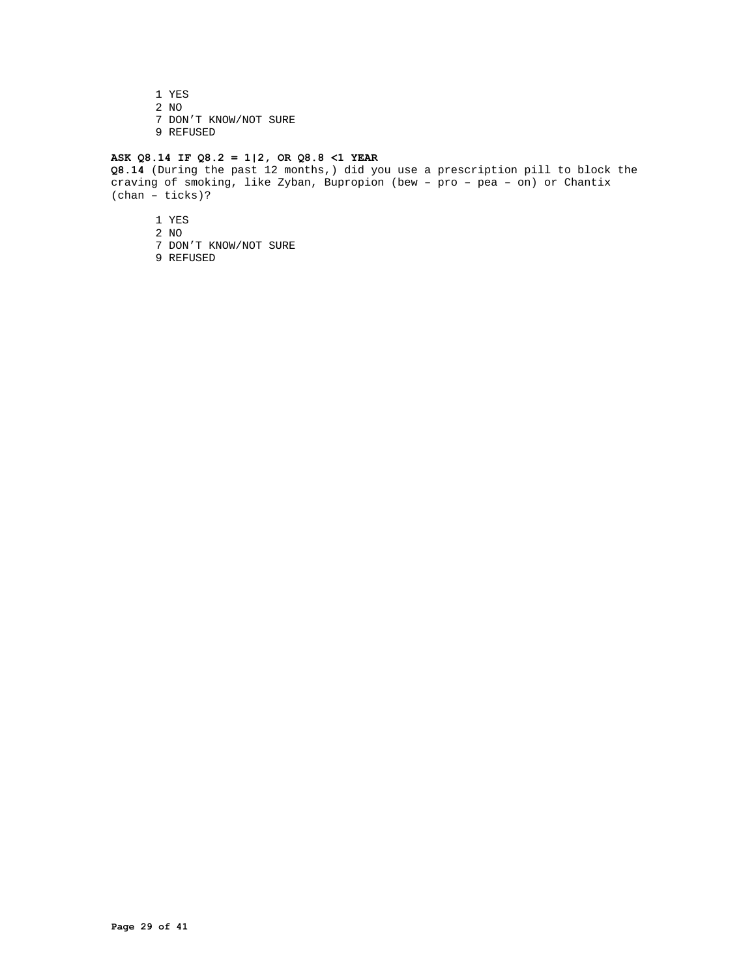1 YES 2 NO 7 DON'T KNOW/NOT SURE 9 REFUSED

# **ASK Q8.14 IF Q8.2 = 1|2, OR Q8.8 <1 YEAR**

**Q8.14** (During the past 12 months,) did you use a prescription pill to block the craving of smoking, like Zyban, Bupropion (bew – pro – pea – on) or Chantix (chan – ticks)?

- 1 YES
- 2 NO
- 7 DON'T KNOW/NOT SURE
- 9 REFUSED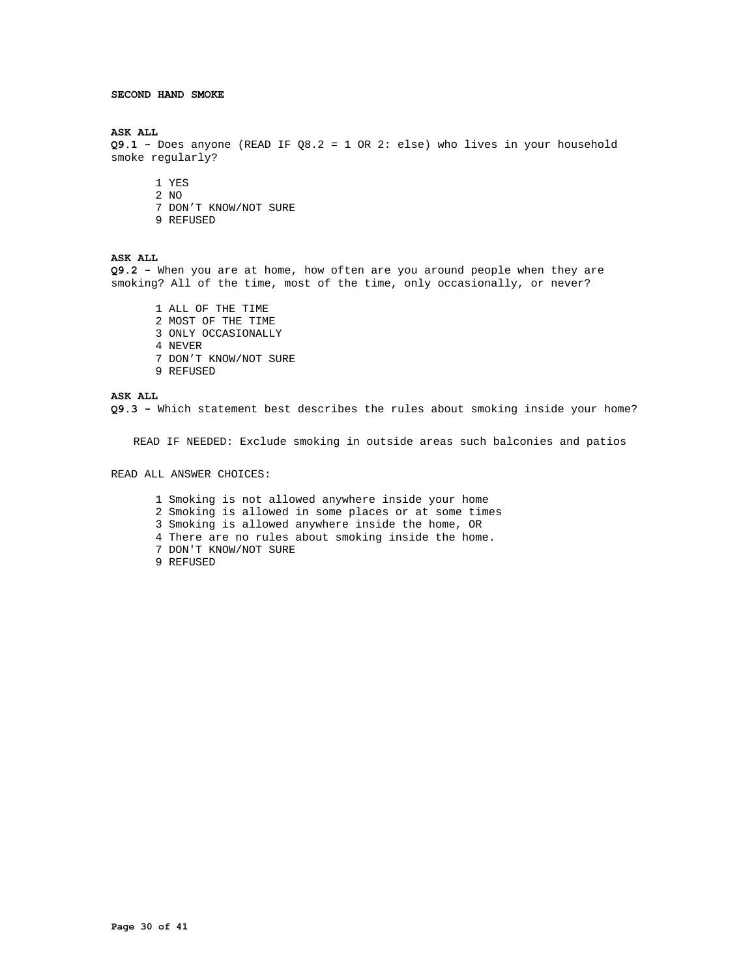## **SECOND HAND SMOKE**

#### **ASK ALL**

**Q9.1 -** Does anyone (READ IF Q8.2 = 1 OR 2: else) who lives in your household smoke regularly?

 1 YES 2 NO 7 DON'T KNOW/NOT SURE 9 REFUSED

**ASK ALL** 

**Q9.2 -** When you are at home, how often are you around people when they are smoking? All of the time, most of the time, only occasionally, or never?

 1 ALL OF THE TIME 2 MOST OF THE TIME 3 ONLY OCCASIONALLY 4 NEVER 7 DON'T KNOW/NOT SURE 9 REFUSED

**ASK ALL** 

**Q9.3 -** Which statement best describes the rules about smoking inside your home?

READ IF NEEDED: Exclude smoking in outside areas such balconies and patios

READ ALL ANSWER CHOICES:

1 Smoking is not allowed anywhere inside your home 2 Smoking is allowed in some places or at some times 3 Smoking is allowed anywhere inside the home, OR 4 There are no rules about smoking inside the home. 7 DON'T KNOW/NOT SURE 9 REFUSED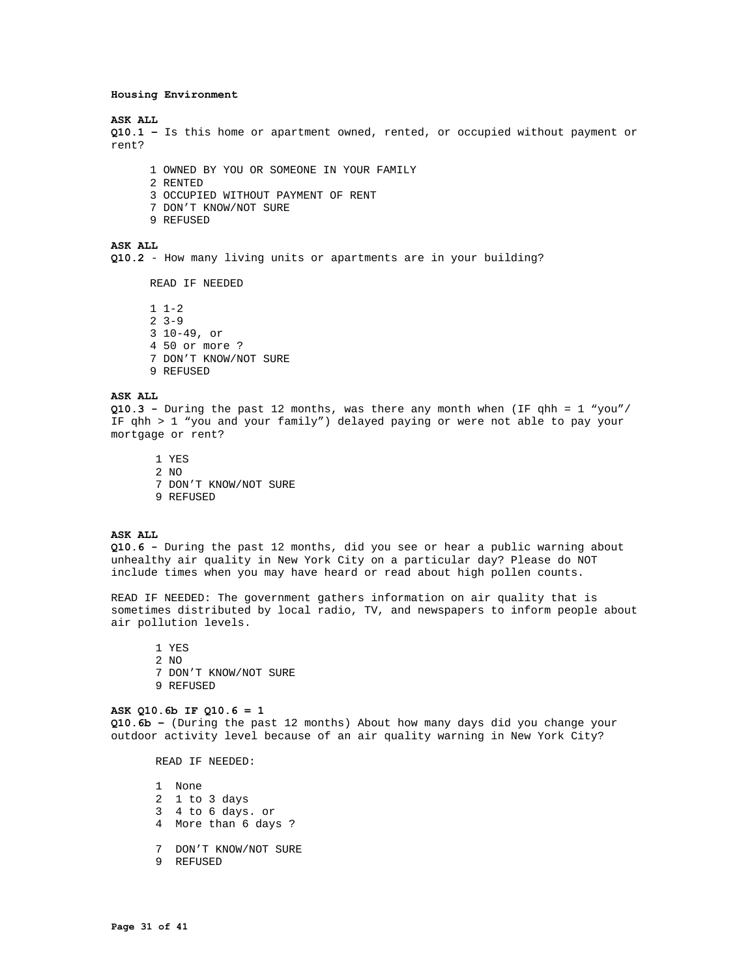**ASK ALL Q10.1 –** Is this home or apartment owned, rented, or occupied without payment or rent?

1 OWNED BY YOU OR SOMEONE IN YOUR FAMILY 2 RENTED 3 OCCUPIED WITHOUT PAYMENT OF RENT 7 DON'T KNOW/NOT SURE 9 REFUSED

**ASK ALL Q10.2** - How many living units or apartments are in your building?

READ IF NEEDED

**Housing Environment** 

1 1-2 2 3-9 3 10-49, or 4 50 or more ? 7 DON'T KNOW/NOT SURE 9 REFUSED

#### **ASK ALL**

**Q10.3 -** During the past 12 months, was there any month when (IF qhh = 1 "you"/ IF qhh > 1 "you and your family") delayed paying or were not able to pay your mortgage or rent?

1 YES 2 NO 7 DON'T KNOW/NOT SURE 9 REFUSED

# **ASK ALL**

**Q10.6 -** During the past 12 months, did you see or hear a public warning about unhealthy air quality in New York City on a particular day? Please do NOT include times when you may have heard or read about high pollen counts.

READ IF NEEDED: The government gathers information on air quality that is sometimes distributed by local radio, TV, and newspapers to inform people about air pollution levels.

 1 YES 2 NO 7 DON'T KNOW/NOT SURE 9 REFUSED

**ASK Q10.6b IF Q10.6 = 1 Q10.6b –** (During the past 12 months) About how many days did you change your outdoor activity level because of an air quality warning in New York City?

READ IF NEEDED:

 1 None 2 1 to 3 days 3 4 to 6 days. or 4 More than 6 days ? 7 DON'T KNOW/NOT SURE 9 REFUSED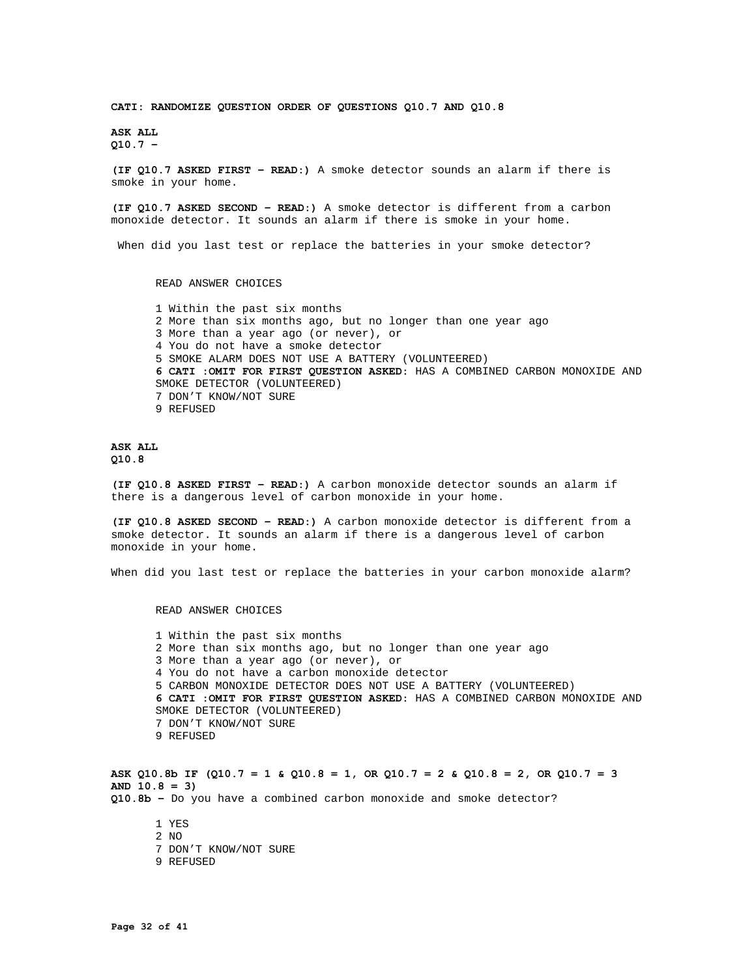**CATI: RANDOMIZE QUESTION ORDER OF QUESTIONS Q10.7 AND Q10.8** 

**ASK ALL Q10.7 –** 

**(IF Q10.7 ASKED FIRST – READ:)** A smoke detector sounds an alarm if there is smoke in your home.

**(IF Q10.7 ASKED SECOND – READ:)** A smoke detector is different from a carbon monoxide detector. It sounds an alarm if there is smoke in your home.

When did you last test or replace the batteries in your smoke detector?

READ ANSWER CHOICES

1 Within the past six months 2 More than six months ago, but no longer than one year ago 3 More than a year ago (or never), or 4 You do not have a smoke detector 5 SMOKE ALARM DOES NOT USE A BATTERY ( VOLUNTEERED) **6 CATI :OMIT FOR FIRST QUESTION ASKED:** HAS A COMBINED CARBON MONOXIDE AND SMOKE DETECTOR (VOLUNTEERED) 7 DON'T KNOW/NOT SURE 9 REFUSED

#### **ASK ALL Q10.8**

**(IF Q10.8 ASKED FIRST – READ:)** A carbon monoxide detector sounds an alarm if there is a dangerous level of carbon monoxide in your home.

**(IF Q10.8 ASKED SECOND – READ:)** A carbon monoxide detector is different from a smoke detector. It sounds an alarm if there is a dangerous level of carbon monoxide in your home.

When did you last test or replace the batteries in your carbon monoxide alarm?

READ ANSWER CHOICES

1 Within the past six months 2 More than six months ago, but no longer than one year ago 3 More than a year ago (or never), or 4 You do not have a carbon monoxide detector 5 CARBON MONOXIDE DETECTOR DOES NOT US E A BATTERY (VOLUNTEERED) **6 CATI :OMIT FOR FIRST QUESTION ASKED:** HAS A COMBINED CARBON MONOXIDE AND SMOKE DETECTOR (VOLUNTEERED) 7 DON'T KNOW/NOT SURE 9 REFUSED

**ASK Q10.8b IF (Q10.7 = 1 & Q10.8 = 1, OR Q10.7 = 2 & Q10.8 = 2, OR Q10.7 = 3 AND 10.8 = 3) Q10.8b –** Do you have a combined carbon monoxide and smoke detector? 1 YES 2 NO 7 DON'T KNOW/NOT SURE 9 REFUSED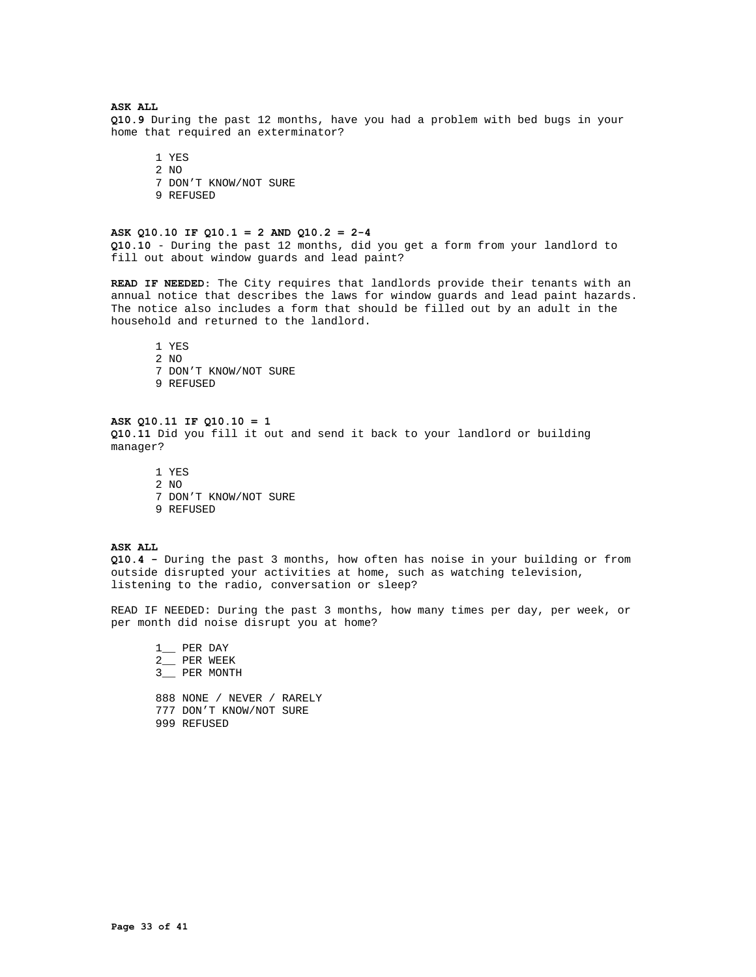# **ASK ALL**

**Q10.9** During the past 12 months, have you had a problem with bed bugs in your home that required an exterminator?

1 YES 2  $N<sub>O</sub>$ 7 DON'T KNOW/NOT SURE 9 REFUSED

# **ASK Q10.10 IF Q10.1 = 2 AND Q10.2 = 2-4**

**Q10.10** - During the past 12 months, did you get a form from your landlord to fill out about window guards and lead paint?

**READ IF NEEDED:** The City requires that landlords provide their tenants with an annual notice that describes the laws for window guards and lead paint hazards. The notice also includes a form that should be filled out by an adult in the household and returned to the landlord.

1 YES 2 NO 7 DON'T KNOW/NOT SURE 9 REFUSED

## **ASK Q10.11 IF Q10.10 = 1**

**Q10.11** Did you fill it out and send it back to your landlord or building manager?

1 YES 2 NO 7 DON'T KNOW/NOT SURE 9 REFUSED

#### **ASK ALL**

**Q10.4 -** During the past 3 months, how often has noise in your building or from outside disrupted your activities at home, such as watching television, listening to the radio, conversation or sleep?

READ IF NEEDED: During the past 3 months, how many times per day, per week, or per month did noise disrupt you at home?

1\_\_ PER DAY 2\_\_ PER WEEK 3\_\_ PER MONTH 888 NONE / NEVER / RARELY 777 DON'T KNOW/NOT SURE 999 REFUSED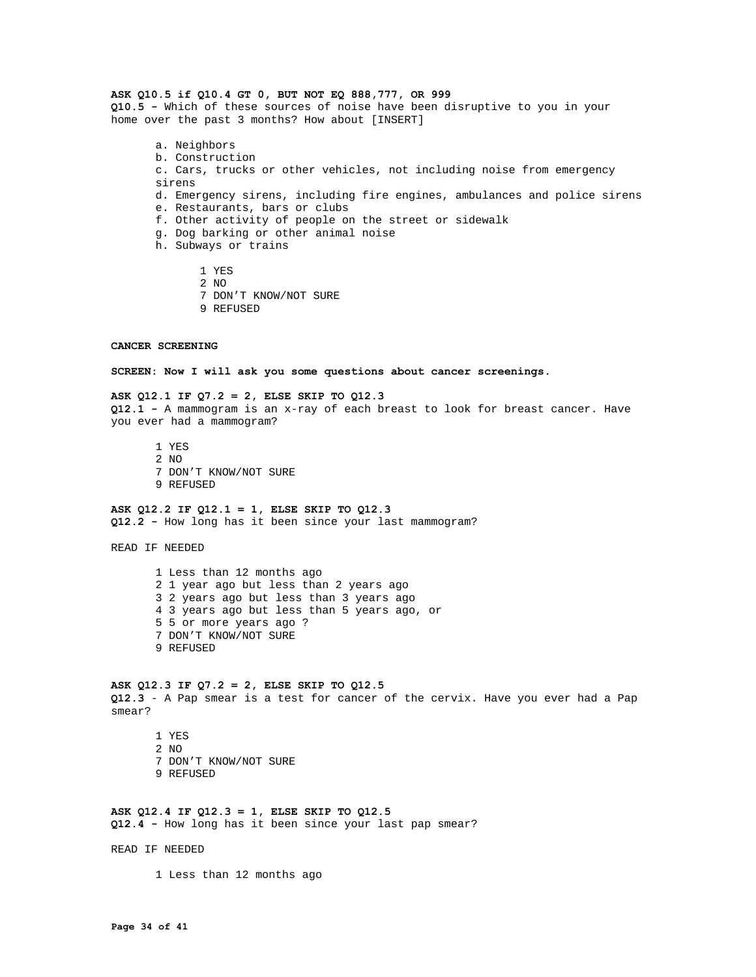## **ASK Q10.5 if Q10.4 GT 0, BUT NOT EQ 888,777, OR 999**

**Q10.5 -** Which of these sources of noise have been disruptive to you in your home over the past 3 months? How about [INSERT]

- a. Neighbors
- b. Construction
- c. Cars, trucks or other vehicles, not including noise from emergency sirens
- 
- d. Emergency sirens, including fire engines, ambulances and police sirens
- e. Restaurants, bars or clubs
- f. Other activity of people on the street or sidewalk
- g. Dog barking or other animal noise
- h. Subways or trains
	- 1 YES
	- 2 NO
	- 7 DON'T KNOW/NOT SURE
	- 9 REFUSED

## **CANCER SCREENING**

**SCREEN: Now I will ask you some questions about cancer screenings.** 

#### **ASK Q12.1 IF Q7.2 = 2, ELSE SKIP TO Q12.3**

**Q12.1 -** A mammogram is an x-ray of each breast to look for breast cancer. Have you ever had a mammogram?

- 1 YES 2 NO
- 7 DON'T KNOW/NOT SURE
- 9 REFUSED
- 

# **ASK Q12.2 IF Q12.1 = 1, ELSE SKIP TO Q12.3 Q12.2 -** How long has it been since your last mammogram?

READ IF NEEDED

1 Less than 12 months ago 2 1 year ago but less than 2 years ago 3 2 years ago but less than 3 years ago 4 3 years ago but less than 5 years ago, or 5 5 or more years ago ? 7 DON'T KNOW/NOT SURE 9 REFUSED

# **ASK Q12.3 IF Q7.2 = 2, ELSE SKIP TO Q12.5**

**Q12.3** - A Pap smear is a test for cancer of the cervix. Have you ever had a Pap smear?

```
1 YES 
2 NO 
7 DON'T KNOW/NOT SURE 
9 REFUSED
```
# **ASK Q12.4 IF Q12.3 = 1, ELSE SKIP TO Q12.5 Q12.4 -** How long has it been since your last pap smear?

READ IF NEEDED

1 Less than 12 months ago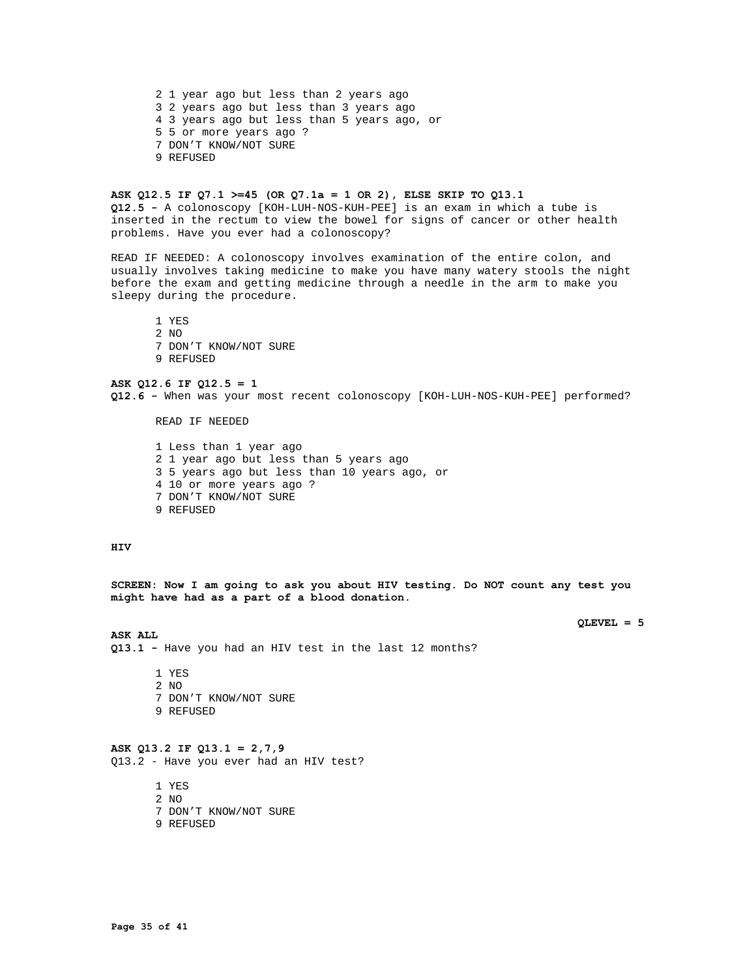2 1 year ago but less than 2 years ago 3 2 years ago but less than 3 years ago 4 3 years ago but less than 5 years ago, or 5 5 or more years ago ? 7 DON'T KNOW/NOT SURE 9 REFUSED

**ASK Q12.5 IF Q7.1 >=45 (OR Q7.1a = 1 OR 2), ELSE SKIP TO Q13.1 Q12.5 -** A colonoscopy [KOH-LUH-NOS-KUH-PEE] is an exam in which a tube is inserted in the rectum to view the bowel for signs of cancer or other health problems. Have you ever had a colonoscopy?

READ IF NEEDED: A colonoscopy involves examination of the entire colon, and usually involves taking medicine to make you have many watery stools the night before the exam and getting medicine through a needle in the arm to make you sleepy during the procedure.

1 YES 2 NO 7 DON'T KNOW/NOT SURE 9 REFUSED

**ASK Q12.6 IF Q12.5 = 1 Q12.6 -** When was your most recent colonoscopy [KOH-LUH-NOS-KUH-PEE] performed?

READ IF NEEDED

1 Less than 1 year ago 2 1 year ago but less than 5 years ago 3 5 years ago but less than 10 years ago, or 4 10 or more years ago ? 7 DON'T KNOW/NOT SURE 9 REFUSED

**HIV** 

**SCREEN: Now I am going to ask you about HIV testing. Do NOT count any test you might have had as a part of a blood donation.**

**QLEVEL = 5** 

**ASK ALL Q13.1 -** Have you had an HIV test in the last 12 months?

> 1 YES 2 NO 7 DON'T KNOW/NOT SURE 9 REFUSED

**ASK Q13.2 IF Q13.1 = 2,7,9**  Q13.2 - Have you ever had an HIV test?

> 1 YES 2  $N<sub>O</sub>$  7 DON'T KNOW/NOT SURE 9 REFUSED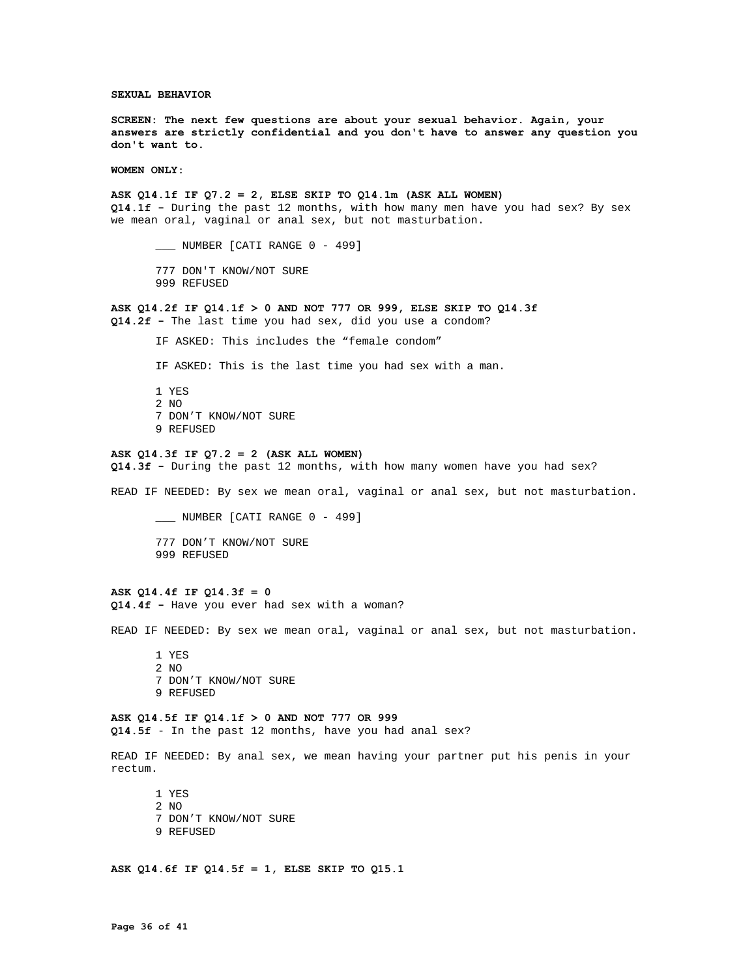**SEXUAL BEHAVIOR** 

**SCREEN: The next few questions are about your sexual behavior. Again, your answers are strictly confidential and you don't have to answer any question you don't want to.** 

**WOMEN ONLY:**

**ASK Q14.1f IF Q7.2 = 2, ELSE SKIP TO Q14.1m (ASK ALL WOMEN) Q14.1f -** During the past 12 months, with how many men have you had sex? By sex we mean oral, vaginal or anal sex, but not masturbation.

\_\_\_ NUMBER [CATI RANGE 0 - 499]

- 777 DON'T KNOW/NOT SURE
- 999 REFUSED

# **ASK Q14.2f IF Q14.1f > 0 AND NOT 777 OR 999, ELSE SKIP TO Q14.3f**

**Q14.2f -** The last time you had sex, did you use a condom?

IF ASKED: This includes the "female condom"

IF ASKED: This is the last time you had sex with a man.

1 YES 2 NO 7 DON'T KNOW/NOT SURE 9 REFUSED

## **ASK Q14.3f IF Q7.2 = 2 (ASK ALL WOMEN)**

**Q14.3f -** During the past 12 months, with how many women have you had sex?

READ IF NEEDED: By sex we mean oral, vaginal or anal sex, but not masturbation.

\_\_\_ NUMBER [CATI RANGE 0 - 499]

777 DON'T KNOW/NOT SURE 999 REFUSED

#### **ASK Q14.4f IF Q14.3f = 0**

**Q14.4f -** Have you ever had sex with a woman?

READ IF NEEDED: By sex we mean oral, vaginal or anal sex, but not masturbation.

1 YES 2 NO 7 DON'T KNOW/NOT SURE 9 REFUSED

## **ASK Q14.5f IF Q14.1f > 0 AND NOT 777 OR 999**

**Q14.5f** - In the past 12 months, have you had anal sex?

READ IF NEEDED: By anal sex, we mean having your partner put his penis in your rectum.

1 YES  $2 \text{ N}$ 7 DON'T KNOW/NOT SURE 9 REFUSED

**ASK Q14.6f IF Q14.5f = 1, ELSE SKIP TO Q15.1**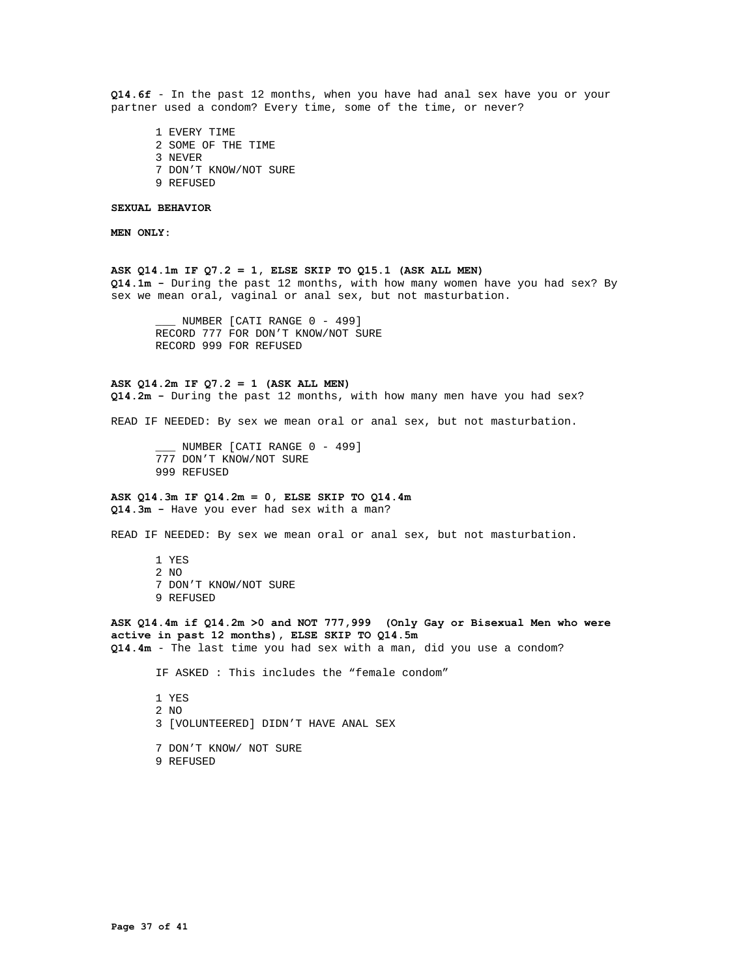**Q14.6f** - In the past 12 months, when you have had anal sex have you or your partner used a condom? Every time, some of the time, or never?

1 EVERY TIME 2 SOME OF THE TIME 3 NEVER 7 DON'T KNOW/NOT SURE 9 REFUSED

#### **SEXUAL BEHAVIOR**

**MEN ONLY:** 

#### **ASK Q14.1m IF Q7.2 = 1, ELSE SKIP TO Q15.1 (ASK ALL MEN)**

**Q14.1m -** During the past 12 months, with how many women have you had sex? By sex we mean oral, vaginal or anal sex, but not masturbation.

\_\_\_ NUMBER [CATI RANGE 0 - 499] RECORD 777 FOR DON'T KNOW/NOT SURE RECORD 999 FOR REFUSED

**ASK Q14.2m IF Q7.2 = 1 (ASK ALL MEN) Q14.2m -** During the past 12 months, with how many men have you had sex?

READ IF NEEDED: By sex we mean oral or anal sex, but not masturbation.

NUMBER [CATI RANGE 0 - 499] 777 DON'T KNOW/NOT SURE 999 REFUSED

## **ASK Q14.3m IF Q14.2m = 0, ELSE SKIP TO Q14.4m Q14.3m -** Have you ever had sex with a man?

READ IF NEEDED: By sex we mean oral or anal sex, but not masturbation.

1 YES 2 NO 7 DON'T KNOW/NOT SURE 9 REFUSED

**ASK Q14.4m if Q14.2m >0 and NOT 777,999 (Only Gay or Bisexual Men who were active in past 12 months), ELSE SKIP TO Q14.5m Q14.4m** - The last time you had sex with a man, did you use a condom?

IF ASKED : This includes the "female condom" 1 YES 2 NO 3 [VOLUNTEERED] DIDN'T HAVE ANAL SEX 7 DON'T KNOW/ NOT SURE 9 REFUSED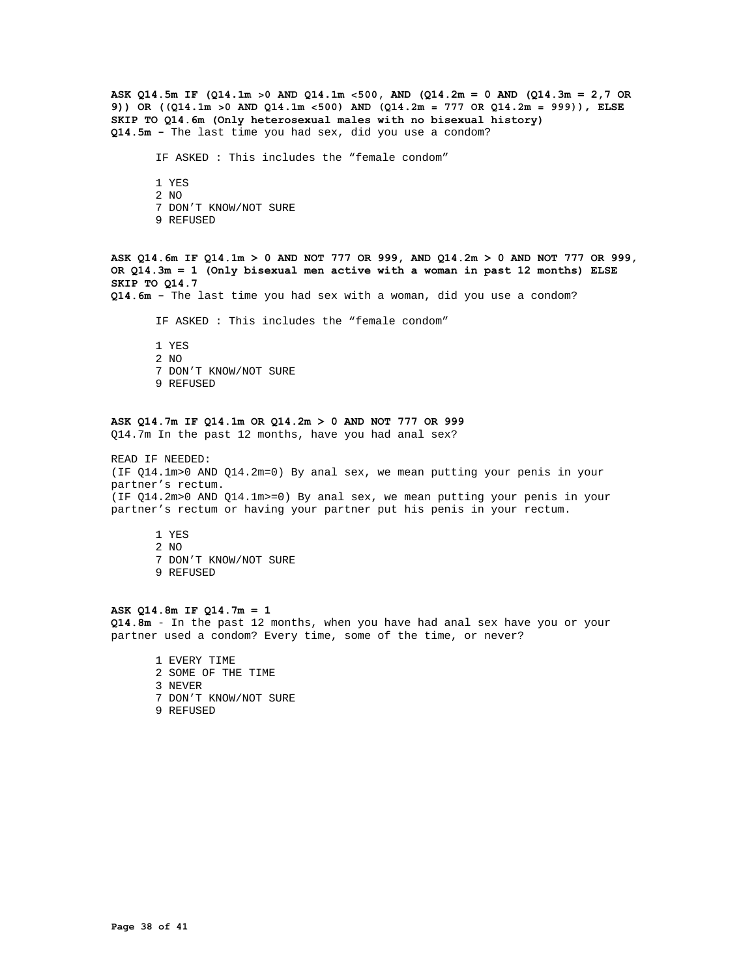**ASK Q14.5m IF (Q14.1m >0 AND Q14.1m <500, AND (Q14.2m = 0 AND (Q14.3m = 2,7 OR 9)) OR ((Q14.1m >0 AND Q14.1m <500) AND (Q14.2m = 777 OR Q14.2m = 999)), ELSE SKIP TO Q14.6m (Only heterosexual males with no bisexual history) Q14.5m -** The last time you had sex, did you use a condom? IF ASKED : This includes the "female condom" 1 YES 2 NO 7 DON'T KNOW/NOT SURE 9 REFUSED **ASK Q14.6m IF Q14.1m > 0 AND NOT 777 OR 999, AND Q14.2m > 0 AND NOT 777 OR 999, OR Q14.3m = 1 (Only bisexual men active with a woman in past 12 months) ELSE SKIP TO Q14.7 Q14.6m -** The last time you had sex with a woman, did you use a condom? IF ASKED : This includes the "female condom" 1 YES 2 NO 7 DON'T KNOW/NOT SURE 9 REFUSED **ASK Q14.7m IF Q14.1m OR Q14.2m > 0 AND NOT 777 OR 999**  Q14.7m In the past 12 months, have you had anal sex? READ IF NEEDED: (IF Q14.1m>0 AND Q14.2m=0) By anal sex, we mean putting your penis in your partner's rectum. (IF Q14.2m>0 AND Q14.1m>=0) By anal sex, we mean putting your penis in your partner's rectum or having your partner put his penis in your rectum. 1 YES 2 NO 7 DON'T KNOW/NOT SURE 9 REFUSED **ASK Q14.8m IF Q14.7m = 1 Q14.8m** - In the past 12 months, when you have had anal sex have you or your partner used a condom? Every time, some of the time, or never? 1 EVERY TIME 2 SOME OF THE TIME 3 NEVER 7 DON'T KNOW/NOT SURE 9 REFUSED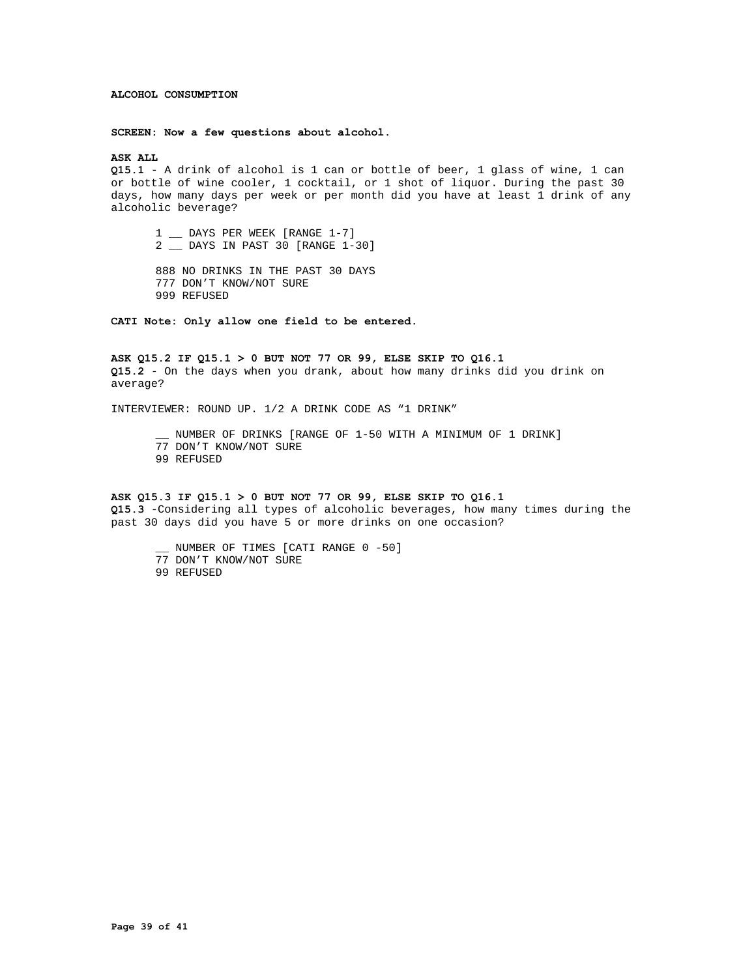## **ALCOHOL CONSUMPTION**

#### **SCREEN: Now a few questions about alcohol.**

#### **ASK ALL**

**Q15.1** - A drink of alcohol is 1 can or bottle of beer, 1 glass of wine, 1 can or bottle of wine cooler, 1 cocktail, or 1 shot of liquor. During the past 30 days, how many days per week or per month did you have at least 1 drink of any alcoholic beverage?

1 \_\_ DAYS PER WEEK [RANGE 1-7] 2 \_\_ DAYS IN PAST 30 [RANGE 1-30]

888 NO DRINKS IN THE PAST 30 DAYS 777 DON'T KNOW/NOT SURE 999 REFUSED

**CATI Note: Only allow one field to be entered.** 

**ASK Q15.2 IF Q15.1 > 0 BUT NOT 77 OR 99, ELSE SKIP TO Q16.1 Q15.2** - On the days when you drank, about how many drinks did you drink on average?

INTERVIEWER: ROUND UP. 1/2 A DRINK CODE AS "1 DRINK"

\_\_ NUMBER OF DRINKS [RANGE OF 1-50 WITH A MINIMUM OF 1 DRINK] 77 DON'T KNOW/NOT SURE 99 REFUSED

## **ASK Q15.3 IF Q15.1 > 0 BUT NOT 77 OR 99, ELSE SKIP TO Q16.1**

**Q15.3** -Considering all types of alcoholic beverages, how many times during the past 30 days did you have 5 or more drinks on one occasion?

\_\_ NUMBER OF TIMES [CATI RANGE 0 -50] 77 DON'T KNOW/NOT SURE 99 REFUSED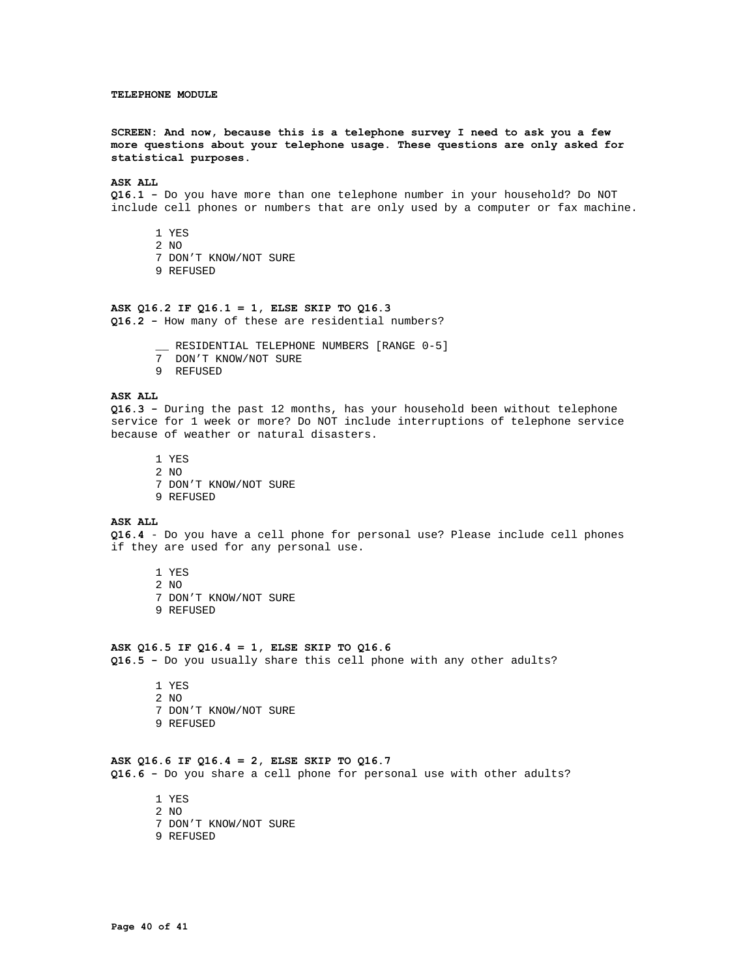#### **TELEPHONE MODULE**

**SCREEN: And now, because this is a telephone survey I need to ask you a few more questions about your telephone usage. These questions are only asked for statistical purposes.** 

#### **ASK ALL**

**Q16.1 -** Do you have more than one telephone number in your household? Do NOT include cell phones or numbers that are only used by a computer or fax machine.

- 1 YES 2 NO
- 7 DON'T KNOW/NOT SURE
- 9 REFUSED

#### **ASK Q16.2 IF Q16.1 = 1, ELSE SKIP TO Q16.3**

**Q16.2 -** How many of these are residential numbers?

- \_\_ RESIDENTIAL TELEPHONE NUMBERS [RANGE 0-5]
- 7 DON'T KNOW/NOT SURE
- 9 REFUSED

#### **ASK ALL**

**Q16.3 -** During the past 12 months, has your household been without telephone service for 1 week or more? Do NOT include interruptions of telephone service because of weather or natural disasters.

1 YES 2 NO 7 DON'T KNOW/NOT SURE 9 REFUSED

# **ASK ALL**

**Q16.4** - Do you have a cell phone for personal use? Please include cell phones if they are used for any personal use.

1 YES 2  $N<sub>O</sub>$ 7 DON'T KNOW/NOT SURE 9 REFUSED

#### **ASK Q16.5 IF Q16.4 = 1, ELSE SKIP TO Q16.6**

**Q16.5 -** Do you usually share this cell phone with any other adults?

1 YES 2 NO 7 DON'T KNOW/NOT SURE 9 REFUSED

# **ASK Q16.6 IF Q16.4 = 2, ELSE SKIP TO Q16.7**

**Q16.6 -** Do you share a cell phone for personal use with other adults?

1 YES 2 NO 7 DON'T KNOW/NOT SURE 9 REFUSED